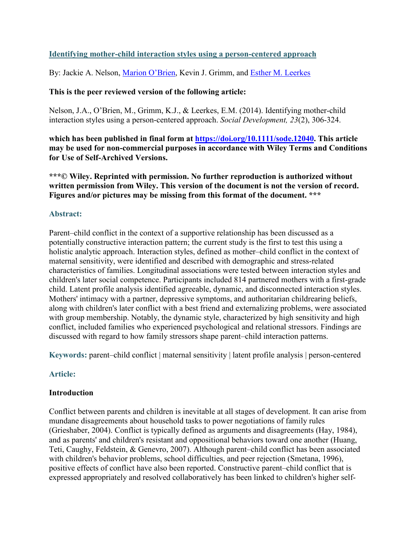## **Identifying mother-child interaction styles using a person-centered approach**

By: Jackie A. Nelson, [Marion O'Brien,](http://libres.uncg.edu/ir/uncg/clist.aspx?id=1332) Kevin J. Grimm, and [Esther M. Leerkes](https://libres.uncg.edu/ir/uncg/clist.aspx?id=1186)

## **This is the peer reviewed version of the following article:**

Nelson, J.A., O'Brien, M., Grimm, K.J., & Leerkes, E.M. (2014). Identifying mother-child interaction styles using a person-centered approach. *Social Development, 23*(2), 306-324.

**which has been published in final form at [https://doi.org/10.1111/sode.12040.](https://doi.org/10.1111/sode.12040) This article may be used for non-commercial purposes in accordance with Wiley Terms and Conditions for Use of Self-Archived Versions.**

**\*\*\*© Wiley. Reprinted with permission. No further reproduction is authorized without written permission from Wiley. This version of the document is not the version of record. Figures and/or pictures may be missing from this format of the document. \*\*\***

## **Abstract:**

Parent–child conflict in the context of a supportive relationship has been discussed as a potentially constructive interaction pattern; the current study is the first to test this using a holistic analytic approach. Interaction styles, defined as mother–child conflict in the context of maternal sensitivity, were identified and described with demographic and stress-related characteristics of families. Longitudinal associations were tested between interaction styles and children's later social competence. Participants included 814 partnered mothers with a first‐grade child. Latent profile analysis identified agreeable, dynamic, and disconnected interaction styles. Mothers' intimacy with a partner, depressive symptoms, and authoritarian childrearing beliefs, along with children's later conflict with a best friend and externalizing problems, were associated with group membership. Notably, the dynamic style, characterized by high sensitivity and high conflict, included families who experienced psychological and relational stressors. Findings are discussed with regard to how family stressors shape parent–child interaction patterns.

**Keywords:** parent–child conflict | maternal sensitivity | latent profile analysis | person‐centered

# **Article:**

## **Introduction**

Conflict between parents and children is inevitable at all stages of development. It can arise from mundane disagreements about household tasks to power negotiations of family rules (Grieshaber, 2004). Conflict is typically defined as arguments and disagreements (Hay, 1984), and as parents' and children's resistant and oppositional behaviors toward one another (Huang, Teti, Caughy, Feldstein, & Genevro, 2007). Although parent–child conflict has been associated with children's behavior problems, school difficulties, and peer rejection (Smetana, 1996), positive effects of conflict have also been reported. Constructive parent–child conflict that is expressed appropriately and resolved collaboratively has been linked to children's higher self‐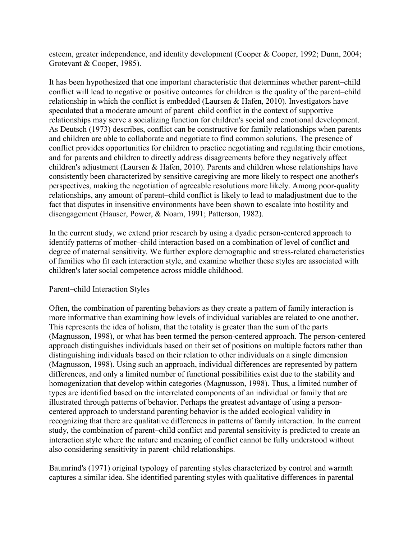esteem, greater independence, and identity development (Cooper & Cooper, 1992; Dunn, 2004; Grotevant & Cooper, 1985).

It has been hypothesized that one important characteristic that determines whether parent–child conflict will lead to negative or positive outcomes for children is the quality of the parent–child relationship in which the conflict is embedded (Laursen & Hafen, 2010). Investigators have speculated that a moderate amount of parent–child conflict in the context of supportive relationships may serve a socializing function for children's social and emotional development. As Deutsch (1973) describes, conflict can be constructive for family relationships when parents and children are able to collaborate and negotiate to find common solutions. The presence of conflict provides opportunities for children to practice negotiating and regulating their emotions, and for parents and children to directly address disagreements before they negatively affect children's adjustment (Laursen & Hafen, 2010). Parents and children whose relationships have consistently been characterized by sensitive caregiving are more likely to respect one another's perspectives, making the negotiation of agreeable resolutions more likely. Among poor‐quality relationships, any amount of parent–child conflict is likely to lead to maladjustment due to the fact that disputes in insensitive environments have been shown to escalate into hostility and disengagement (Hauser, Power, & Noam, 1991; Patterson, 1982).

In the current study, we extend prior research by using a dyadic person-centered approach to identify patterns of mother–child interaction based on a combination of level of conflict and degree of maternal sensitivity. We further explore demographic and stress-related characteristics of families who fit each interaction style, and examine whether these styles are associated with children's later social competence across middle childhood.

#### Parent–child Interaction Styles

Often, the combination of parenting behaviors as they create a pattern of family interaction is more informative than examining how levels of individual variables are related to one another. This represents the idea of holism, that the totality is greater than the sum of the parts (Magnusson, 1998), or what has been termed the person‐centered approach. The person‐centered approach distinguishes individuals based on their set of positions on multiple factors rather than distinguishing individuals based on their relation to other individuals on a single dimension (Magnusson, 1998). Using such an approach, individual differences are represented by pattern differences, and only a limited number of functional possibilities exist due to the stability and homogenization that develop within categories (Magnusson, 1998). Thus, a limited number of types are identified based on the interrelated components of an individual or family that are illustrated through patterns of behavior. Perhaps the greatest advantage of using a person‐ centered approach to understand parenting behavior is the added ecological validity in recognizing that there are qualitative differences in patterns of family interaction. In the current study, the combination of parent–child conflict and parental sensitivity is predicted to create an interaction style where the nature and meaning of conflict cannot be fully understood without also considering sensitivity in parent–child relationships.

Baumrind's (1971) original typology of parenting styles characterized by control and warmth captures a similar idea. She identified parenting styles with qualitative differences in parental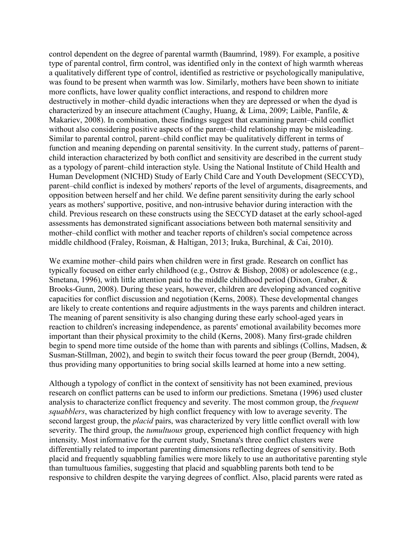control dependent on the degree of parental warmth (Baumrind, 1989). For example, a positive type of parental control, firm control, was identified only in the context of high warmth whereas a qualitatively different type of control, identified as restrictive or psychologically manipulative, was found to be present when warmth was low. Similarly, mothers have been shown to initiate more conflicts, have lower quality conflict interactions, and respond to children more destructively in mother–child dyadic interactions when they are depressed or when the dyad is characterized by an insecure attachment (Caughy, Huang, & Lima, 2009; Laible, Panfile, & Makariev, 2008). In combination, these findings suggest that examining parent–child conflict without also considering positive aspects of the parent–child relationship may be misleading. Similar to parental control, parent–child conflict may be qualitatively different in terms of function and meaning depending on parental sensitivity. In the current study, patterns of parent– child interaction characterized by both conflict and sensitivity are described in the current study as a typology of parent–child interaction style. Using the National Institute of Child Health and Human Development (NICHD) Study of Early Child Care and Youth Development (SECCYD), parent–child conflict is indexed by mothers' reports of the level of arguments, disagreements, and opposition between herself and her child. We define parent sensitivity during the early school years as mothers' supportive, positive, and non‐intrusive behavior during interaction with the child. Previous research on these constructs using the SECCYD dataset at the early school‐aged assessments has demonstrated significant associations between both maternal sensitivity and mother–child conflict with mother and teacher reports of children's social competence across middle childhood (Fraley, Roisman, & Haltigan, 2013; Iruka, Burchinal, & Cai, 2010).

We examine mother–child pairs when children were in first grade. Research on conflict has typically focused on either early childhood (e.g., Ostrov & Bishop, 2008) or adolescence (e.g., Smetana, 1996), with little attention paid to the middle childhood period (Dixon, Graber, & Brooks‐Gunn, 2008). During these years, however, children are developing advanced cognitive capacities for conflict discussion and negotiation (Kerns, 2008). These developmental changes are likely to create contentions and require adjustments in the ways parents and children interact. The meaning of parent sensitivity is also changing during these early school‐aged years in reaction to children's increasing independence, as parents' emotional availability becomes more important than their physical proximity to the child (Kerns, 2008). Many first-grade children begin to spend more time outside of the home than with parents and siblings (Collins, Madsen, & Susman‐Stillman, 2002), and begin to switch their focus toward the peer group (Berndt, 2004), thus providing many opportunities to bring social skills learned at home into a new setting.

Although a typology of conflict in the context of sensitivity has not been examined, previous research on conflict patterns can be used to inform our predictions. Smetana (1996) used cluster analysis to characterize conflict frequency and severity. The most common group, the *frequent squabblers*, was characterized by high conflict frequency with low to average severity. The second largest group, the *placid* pairs, was characterized by very little conflict overall with low severity. The third group, the *tumultuous* group, experienced high conflict frequency with high intensity. Most informative for the current study, Smetana's three conflict clusters were differentially related to important parenting dimensions reflecting degrees of sensitivity. Both placid and frequently squabbling families were more likely to use an authoritative parenting style than tumultuous families, suggesting that placid and squabbling parents both tend to be responsive to children despite the varying degrees of conflict. Also, placid parents were rated as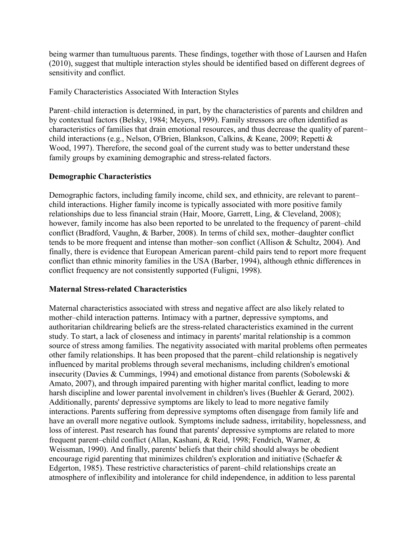being warmer than tumultuous parents. These findings, together with those of Laursen and Hafen (2010), suggest that multiple interaction styles should be identified based on different degrees of sensitivity and conflict.

#### Family Characteristics Associated With Interaction Styles

Parent–child interaction is determined, in part, by the characteristics of parents and children and by contextual factors (Belsky, 1984; Meyers, 1999). Family stressors are often identified as characteristics of families that drain emotional resources, and thus decrease the quality of parent– child interactions (e.g., Nelson, O'Brien, Blankson, Calkins, & Keane, 2009; Repetti & Wood, 1997). Therefore, the second goal of the current study was to better understand these family groups by examining demographic and stress-related factors.

#### **Demographic Characteristics**

Demographic factors, including family income, child sex, and ethnicity, are relevant to parent– child interactions. Higher family income is typically associated with more positive family relationships due to less financial strain (Hair, Moore, Garrett, Ling, & Cleveland, 2008); however, family income has also been reported to be unrelated to the frequency of parent–child conflict (Bradford, Vaughn, & Barber, 2008). In terms of child sex, mother–daughter conflict tends to be more frequent and intense than mother–son conflict (Allison & Schultz, 2004). And finally, there is evidence that European American parent–child pairs tend to report more frequent conflict than ethnic minority families in the USA (Barber, 1994), although ethnic differences in conflict frequency are not consistently supported (Fuligni, 1998).

## **Maternal Stress‐related Characteristics**

Maternal characteristics associated with stress and negative affect are also likely related to mother–child interaction patterns. Intimacy with a partner, depressive symptoms, and authoritarian childrearing beliefs are the stress‐related characteristics examined in the current study. To start, a lack of closeness and intimacy in parents' marital relationship is a common source of stress among families. The negativity associated with marital problems often permeates other family relationships. It has been proposed that the parent–child relationship is negatively influenced by marital problems through several mechanisms, including children's emotional insecurity (Davies & Cummings, 1994) and emotional distance from parents (Sobolewski & Amato, 2007), and through impaired parenting with higher marital conflict, leading to more harsh discipline and lower parental involvement in children's lives (Buehler & Gerard, 2002). Additionally, parents' depressive symptoms are likely to lead to more negative family interactions. Parents suffering from depressive symptoms often disengage from family life and have an overall more negative outlook. Symptoms include sadness, irritability, hopelessness, and loss of interest. Past research has found that parents' depressive symptoms are related to more frequent parent–child conflict (Allan, Kashani, & Reid, 1998; Fendrich, Warner, & Weissman, 1990). And finally, parents' beliefs that their child should always be obedient encourage rigid parenting that minimizes children's exploration and initiative (Schaefer & Edgerton, 1985). These restrictive characteristics of parent–child relationships create an atmosphere of inflexibility and intolerance for child independence, in addition to less parental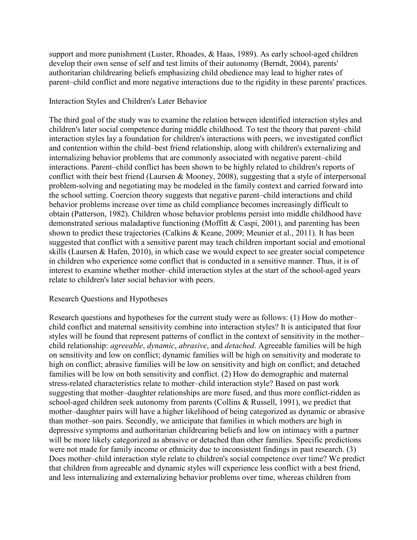support and more punishment (Luster, Rhoades, & Haas, 1989). As early school-aged children develop their own sense of self and test limits of their autonomy (Berndt, 2004), parents' authoritarian childrearing beliefs emphasizing child obedience may lead to higher rates of parent–child conflict and more negative interactions due to the rigidity in these parents' practices.

#### Interaction Styles and Children's Later Behavior

The third goal of the study was to examine the relation between identified interaction styles and children's later social competence during middle childhood. To test the theory that parent–child interaction styles lay a foundation for children's interactions with peers, we investigated conflict and contention within the child–best friend relationship, along with children's externalizing and internalizing behavior problems that are commonly associated with negative parent–child interactions. Parent–child conflict has been shown to be highly related to children's reports of conflict with their best friend (Laursen & Mooney, 2008), suggesting that a style of interpersonal problem‐solving and negotiating may be modeled in the family context and carried forward into the school setting. Coercion theory suggests that negative parent–child interactions and child behavior problems increase over time as child compliance becomes increasingly difficult to obtain (Patterson, 1982). Children whose behavior problems persist into middle childhood have demonstrated serious maladaptive functioning (Moffitt & Caspi, 2001), and parenting has been shown to predict these trajectories (Calkins & Keane, 2009; Meunier et al., 2011). It has been suggested that conflict with a sensitive parent may teach children important social and emotional skills (Laursen & Hafen, 2010), in which case we would expect to see greater social competence in children who experience some conflict that is conducted in a sensitive manner. Thus, it is of interest to examine whether mother–child interaction styles at the start of the school-aged years relate to children's later social behavior with peers.

#### Research Questions and Hypotheses

Research questions and hypotheses for the current study were as follows: (1) How do mother– child conflict and maternal sensitivity combine into interaction styles? It is anticipated that four styles will be found that represent patterns of conflict in the context of sensitivity in the mother– child relationship: *agreeable*, *dynamic*, *abrasive*, and *detached*. Agreeable families will be high on sensitivity and low on conflict; dynamic families will be high on sensitivity and moderate to high on conflict; abrasive families will be low on sensitivity and high on conflict; and detached families will be low on both sensitivity and conflict. (2) How do demographic and maternal stress‐related characteristics relate to mother–child interaction style? Based on past work suggesting that mother–daughter relationships are more fused, and thus more conflict-ridden as school-aged children seek autonomy from parents (Collins & Russell, 1991), we predict that mother–daughter pairs will have a higher likelihood of being categorized as dynamic or abrasive than mother–son pairs. Secondly, we anticipate that families in which mothers are high in depressive symptoms and authoritarian childrearing beliefs and low on intimacy with a partner will be more likely categorized as abrasive or detached than other families. Specific predictions were not made for family income or ethnicity due to inconsistent findings in past research. (3) Does mother–child interaction style relate to children's social competence over time? We predict that children from agreeable and dynamic styles will experience less conflict with a best friend, and less internalizing and externalizing behavior problems over time, whereas children from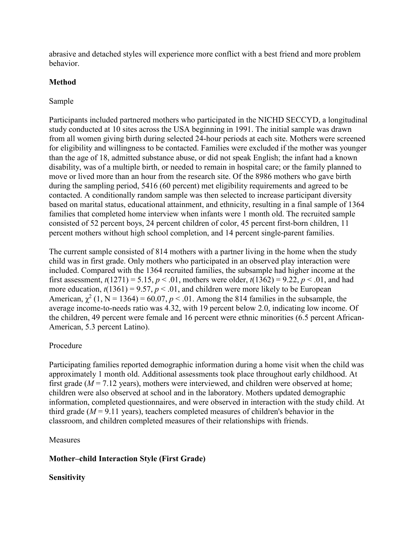abrasive and detached styles will experience more conflict with a best friend and more problem behavior.

# **Method**

# Sample

Participants included partnered mothers who participated in the NICHD SECCYD, a longitudinal study conducted at 10 sites across the USA beginning in 1991. The initial sample was drawn from all women giving birth during selected 24‐hour periods at each site. Mothers were screened for eligibility and willingness to be contacted. Families were excluded if the mother was younger than the age of 18, admitted substance abuse, or did not speak English; the infant had a known disability, was of a multiple birth, or needed to remain in hospital care; or the family planned to move or lived more than an hour from the research site. Of the 8986 mothers who gave birth during the sampling period, 5416 (60 percent) met eligibility requirements and agreed to be contacted. A conditionally random sample was then selected to increase participant diversity based on marital status, educational attainment, and ethnicity, resulting in a final sample of 1364 families that completed home interview when infants were 1 month old. The recruited sample consisted of 52 percent boys, 24 percent children of color, 45 percent first-born children, 11 percent mothers without high school completion, and 14 percent single-parent families.

The current sample consisted of 814 mothers with a partner living in the home when the study child was in first grade. Only mothers who participated in an observed play interaction were included. Compared with the 1364 recruited families, the subsample had higher income at the first assessment,  $t(1271) = 5.15$ ,  $p < .01$ , mothers were older,  $t(1362) = 9.22$ ,  $p < .01$ , and had more education,  $t(1361) = 9.57$ ,  $p < 0.01$ , and children were more likely to be European American,  $\chi^2$  (1, N = 1364) = 60.07,  $p < 0.01$ . Among the 814 families in the subsample, the average income-to-needs ratio was 4.32, with 19 percent below 2.0, indicating low income. Of the children, 49 percent were female and 16 percent were ethnic minorities (6.5 percent African-American, 5.3 percent Latino).

## Procedure

Participating families reported demographic information during a home visit when the child was approximately 1 month old. Additional assessments took place throughout early childhood. At first grade ( $M = 7.12$  years), mothers were interviewed, and children were observed at home; children were also observed at school and in the laboratory. Mothers updated demographic information, completed questionnaires, and were observed in interaction with the study child. At third grade  $(M = 9.11$  years), teachers completed measures of children's behavior in the classroom, and children completed measures of their relationships with friends.

## Measures

# **Mother–child Interaction Style (First Grade)**

## **Sensitivity**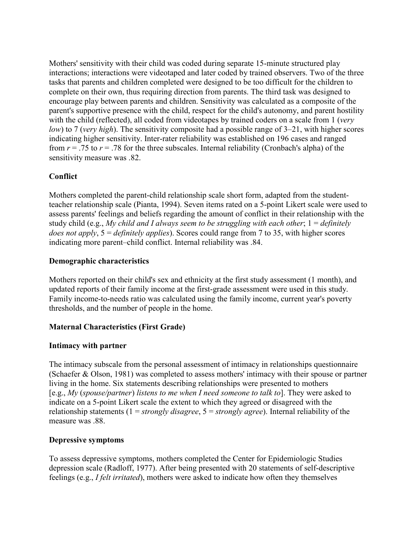Mothers' sensitivity with their child was coded during separate 15-minute structured play interactions; interactions were videotaped and later coded by trained observers. Two of the three tasks that parents and children completed were designed to be too difficult for the children to complete on their own, thus requiring direction from parents. The third task was designed to encourage play between parents and children. Sensitivity was calculated as a composite of the parent's supportive presence with the child, respect for the child's autonomy, and parent hostility with the child (reflected), all coded from videotapes by trained coders on a scale from 1 (*very low*) to 7 (*very high*). The sensitivity composite had a possible range of 3–21, with higher scores indicating higher sensitivity. Inter-rater reliability was established on 196 cases and ranged from  $r = .75$  to  $r = .78$  for the three subscales. Internal reliability (Cronbach's alpha) of the sensitivity measure was .82.

# **Conflict**

Mothers completed the parent-child relationship scale short form, adapted from the studentteacher relationship scale (Pianta, 1994). Seven items rated on a 5‐point Likert scale were used to assess parents' feelings and beliefs regarding the amount of conflict in their relationship with the study child (e.g., *My child and I always seem to be struggling with each other*; 1 = *definitely does not apply*, 5 = *definitely applies*). Scores could range from 7 to 35, with higher scores indicating more parent–child conflict. Internal reliability was .84.

## **Demographic characteristics**

Mothers reported on their child's sex and ethnicity at the first study assessment (1 month), and updated reports of their family income at the first-grade assessment were used in this study. Family income-to-needs ratio was calculated using the family income, current year's poverty thresholds, and the number of people in the home.

## **Maternal Characteristics (First Grade)**

## **Intimacy with partner**

The intimacy subscale from the personal assessment of intimacy in relationships questionnaire (Schaefer & Olson, 1981) was completed to assess mothers' intimacy with their spouse or partner living in the home. Six statements describing relationships were presented to mothers [e.g., *My* (*spouse/partner*) *listens to me when I need someone to talk to*]. They were asked to indicate on a 5‐point Likert scale the extent to which they agreed or disagreed with the relationship statements (1 = *strongly disagree*, 5 = *strongly agree*). Internal reliability of the measure was .88.

## **Depressive symptoms**

To assess depressive symptoms, mothers completed the Center for Epidemiologic Studies depression scale (Radloff, 1977). After being presented with 20 statements of self‐descriptive feelings (e.g., *I felt irritated*), mothers were asked to indicate how often they themselves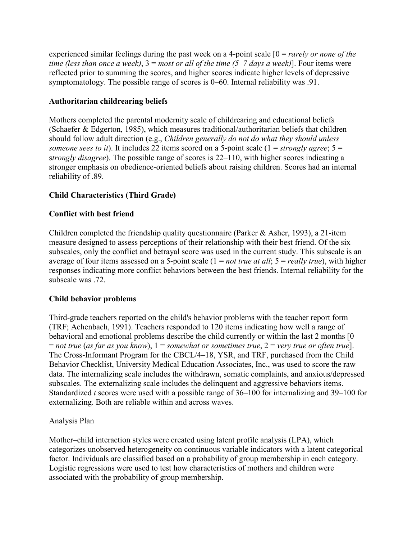experienced similar feelings during the past week on a 4‐point scale [0 = *rarely or none of the time (less than once a week)*, 3 = *most or all of the time (5–7 days a week)*]. Four items were reflected prior to summing the scores, and higher scores indicate higher levels of depressive symptomatology. The possible range of scores is 0–60. Internal reliability was .91.

## **Authoritarian childrearing beliefs**

Mothers completed the parental modernity scale of childrearing and educational beliefs (Schaefer & Edgerton, 1985), which measures traditional/authoritarian beliefs that children should follow adult direction (e.g., *Children generally do not do what they should unless someone sees to it*). It includes 22 items scored on a 5-point scale (1 = *strongly agree*; 5 = s*trongly disagree*). The possible range of scores is 22–110, with higher scores indicating a stronger emphasis on obedience‐oriented beliefs about raising children. Scores had an internal reliability of .89.

# **Child Characteristics (Third Grade)**

# **Conflict with best friend**

Children completed the friendship quality questionnaire (Parker & Asher, 1993), a 21‐item measure designed to assess perceptions of their relationship with their best friend. Of the six subscales, only the conflict and betrayal score was used in the current study. This subscale is an average of four items assessed on a 5‐point scale (1 = *not true at all*; 5 = *really true*), with higher responses indicating more conflict behaviors between the best friends. Internal reliability for the subscale was .72.

## **Child behavior problems**

Third‐grade teachers reported on the child's behavior problems with the teacher report form (TRF; Achenbach, 1991). Teachers responded to 120 items indicating how well a range of behavioral and emotional problems describe the child currently or within the last 2 months [0 = *not true* (*as far as you know*), 1 = *somewhat or sometimes true*, 2 = *very true or often true*]. The Cross-Informant Program for the CBCL/4–18, YSR, and TRF, purchased from the Child Behavior Checklist, University Medical Education Associates, Inc., was used to score the raw data. The internalizing scale includes the withdrawn, somatic complaints, and anxious/depressed subscales. The externalizing scale includes the delinquent and aggressive behaviors items. Standardized *t* scores were used with a possible range of 36–100 for internalizing and 39–100 for externalizing. Both are reliable within and across waves.

## Analysis Plan

Mother–child interaction styles were created using latent profile analysis (LPA), which categorizes unobserved heterogeneity on continuous variable indicators with a latent categorical factor. Individuals are classified based on a probability of group membership in each category. Logistic regressions were used to test how characteristics of mothers and children were associated with the probability of group membership.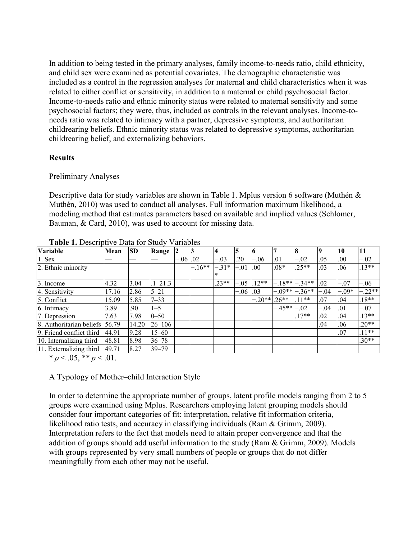In addition to being tested in the primary analyses, family income-to-needs ratio, child ethnicity, and child sex were examined as potential covariates. The demographic characteristic was included as a control in the regression analyses for maternal and child characteristics when it was related to either conflict or sensitivity, in addition to a maternal or child psychosocial factor. Income‐to‐needs ratio and ethnic minority status were related to maternal sensitivity and some psychosocial factors; they were, thus, included as controls in the relevant analyses. Income-toneeds ratio was related to intimacy with a partner, depressive symptoms, and authoritarian childrearing beliefs. Ethnic minority status was related to depressive symptoms, authoritarian childrearing belief, and externalizing behaviors.

#### **Results**

#### Preliminary Analyses

Descriptive data for study variables are shown in Table 1. Mplus version 6 software (Muthén & Muthén, 2010) was used to conduct all analyses. Full information maximum likelihood, a modeling method that estimates parameters based on available and implied values (Schlomer, Bauman, & Card, 2010), was used to account for missing data.

| <b>Table 1.</b> Descriptive Data for Study Variables<br>Variable | Mean  | <b>SD</b> | Range       |            |         |              | 5      | 6          |          | 8        | 0      | <b>10</b> | 11       |
|------------------------------------------------------------------|-------|-----------|-------------|------------|---------|--------------|--------|------------|----------|----------|--------|-----------|----------|
| 1. Sex                                                           |       |           |             | $-.06$ .02 |         | $-.03$       | .20    | $-.06$     | .01      | $-.02$   | .05    | .00       | $-.02$   |
| 2. Ethnic minority                                               |       |           |             |            | $-16**$ | $-.31*$<br>* | -.01   | .00.       | $.08*$   | $.25**$  | .03    | .06       | $.13**$  |
| 3. Income                                                        | 4.32  | 3.04      | $.1 - 21.3$ |            |         | $.23**$      | $-.05$ | $.12**$    | $-.18**$ | $-.34**$ | .02    | $-.07$    | $-.06$   |
| 4. Sensitivity                                                   | 17.16 | 2.86      | $5 - 21$    |            |         |              | $-.06$ | .03        | $-.09**$ | $-.36**$ | $-.04$ | $-.09*$   | $-.22**$ |
| 5. Conflict                                                      | 15.09 | 5.85      | $7 - 33$    |            |         |              |        | $-.20**$ . | $.26**$  | $.11**$  | .07    | .04       | $.18**$  |
| 6. Intimacy                                                      | 3.89  | .90       | $1 - 5$     |            |         |              |        |            | $-.45**$ | $-.02$   | $-.04$ | .01       | $-.07$   |
| 7. Depression                                                    | 7.63  | 7.98      | $0 - 50$    |            |         |              |        |            |          | $.17**$  | .02    | .04       | $.13**$  |
| 8. Authoritarian beliefs                                         | 56.79 | 14.20     | $26 - 106$  |            |         |              |        |            |          |          | .04    | .06       | $.20**$  |
| 9. Friend conflict third                                         | 44.91 | 9.28      | $15 - 60$   |            |         |              |        |            |          |          |        | .07       | $.11**$  |
| 10. Internalizing third                                          | 48.81 | 8.98      | $36 - 78$   |            |         |              |        |            |          |          |        |           | $.30**$  |
| 11. Externalizing third                                          | 49.71 | 8.27      | $39 - 79$   |            |         |              |        |            |          |          |        |           |          |

**Table 1.** Descriptive Data for Study Variables

 $* p < .05, ** p < .01.$ 

## A Typology of Mother–child Interaction Style

In order to determine the appropriate number of groups, latent profile models ranging from 2 to 5 groups were examined using Mplus. Researchers employing latent grouping models should consider four important categories of fit: interpretation, relative fit information criteria, likelihood ratio tests, and accuracy in classifying individuals (Ram & Grimm, 2009). Interpretation refers to the fact that models need to attain proper convergence and that the addition of groups should add useful information to the study (Ram & Grimm, 2009). Models with groups represented by very small numbers of people or groups that do not differ meaningfully from each other may not be useful.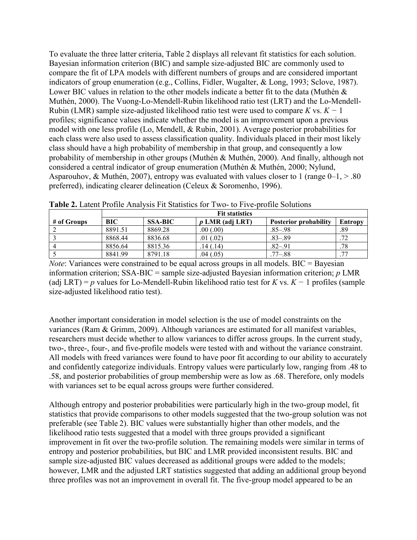To evaluate the three latter criteria, Table 2 displays all relevant fit statistics for each solution. Bayesian information criterion (BIC) and sample size‐adjusted BIC are commonly used to compare the fit of LPA models with different numbers of groups and are considered important indicators of group enumeration (e.g., Collins, Fidler, Wugalter, & Long, 1993; Sclove, 1987). Lower BIC values in relation to the other models indicate a better fit to the data (Muthén & Muthén, 2000). The Vuong‐Lo‐Mendell‐Rubin likelihood ratio test (LRT) and the Lo‐Mendell‐ Rubin (LMR) sample size‐adjusted likelihood ratio test were used to compare *K* vs. *K −* 1 profiles; significance values indicate whether the model is an improvement upon a previous model with one less profile (Lo, Mendell, & Rubin, 2001). Average posterior probabilities for each class were also used to assess classification quality. Individuals placed in their most likely class should have a high probability of membership in that group, and consequently a low probability of membership in other groups (Muthén & Muthén, 2000). And finally, although not considered a central indicator of group enumeration (Muthén & Muthén, 2000; Nylund, Asparouhov, & Muthén, 2007), entropy was evaluated with values closer to 1 (range  $0-1$ ,  $> 0.80$ ) preferred), indicating clearer delineation (Celeux & Soromenho, 1996).

|             | <b>Fit statistics</b> |                |                   |                              |                |  |  |  |  |  |
|-------------|-----------------------|----------------|-------------------|------------------------------|----------------|--|--|--|--|--|
| # of Groups | BIC                   | <b>SSA-BIC</b> | $p$ LMR (adj LRT) | <b>Posterior probability</b> | <b>Entropy</b> |  |  |  |  |  |
|             | 8891.51               | 8869.28        | .00(0.00)         | $.85 - .98$                  | .89            |  |  |  |  |  |
|             | 8868.44               | 8836.68        | .01(0.02)         | $.83 - .89$                  | .72            |  |  |  |  |  |
|             | 8856.64               | 8815.36        | .14(.14)          | $.82 - .91$                  | .78            |  |  |  |  |  |
|             | 8841.99               | 8791.18        | .04(0.05)         | $.77 - .88$                  | 77             |  |  |  |  |  |

Table 2. Latent Profile Analysis Fit Statistics for Two- to Five-profile Solutions

*Note*: Variances were constrained to be equal across groups in all models. BIC = Bayesian information criterion; SSA‐BIC = sample size‐adjusted Bayesian information criterion; *p* LMR (adj LRT) = *p* values for Lo‐Mendell‐Rubin likelihood ratio test for *K* vs. *K −* 1 profiles (sample size‐adjusted likelihood ratio test).

Another important consideration in model selection is the use of model constraints on the variances (Ram & Grimm, 2009). Although variances are estimated for all manifest variables, researchers must decide whether to allow variances to differ across groups. In the current study, two‐, three‐, four‐, and five‐profile models were tested with and without the variance constraint. All models with freed variances were found to have poor fit according to our ability to accurately and confidently categorize individuals. Entropy values were particularly low, ranging from .48 to .58, and posterior probabilities of group membership were as low as .68. Therefore, only models with variances set to be equal across groups were further considered.

Although entropy and posterior probabilities were particularly high in the two‐group model, fit statistics that provide comparisons to other models suggested that the two‐group solution was not preferable (see Table 2). BIC values were substantially higher than other models, and the likelihood ratio tests suggested that a model with three groups provided a significant improvement in fit over the two-profile solution. The remaining models were similar in terms of entropy and posterior probabilities, but BIC and LMR provided inconsistent results. BIC and sample size-adjusted BIC values decreased as additional groups were added to the models; however, LMR and the adjusted LRT statistics suggested that adding an additional group beyond three profiles was not an improvement in overall fit. The five‐group model appeared to be an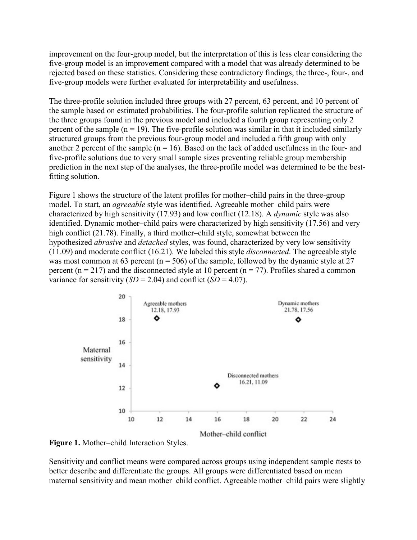improvement on the four‐group model, but the interpretation of this is less clear considering the five‐group model is an improvement compared with a model that was already determined to be rejected based on these statistics. Considering these contradictory findings, the three‐, four‐, and five‐group models were further evaluated for interpretability and usefulness.

The three-profile solution included three groups with 27 percent, 63 percent, and 10 percent of the sample based on estimated probabilities. The four‐profile solution replicated the structure of the three groups found in the previous model and included a fourth group representing only 2 percent of the sample  $(n = 19)$ . The five-profile solution was similar in that it included similarly structured groups from the previous four‐group model and included a fifth group with only another 2 percent of the sample ( $n = 16$ ). Based on the lack of added usefulness in the four- and five‐profile solutions due to very small sample sizes preventing reliable group membership prediction in the next step of the analyses, the three-profile model was determined to be the bestfitting solution.

Figure 1 shows the structure of the latent profiles for mother-child pairs in the three-group model. To start, an *agreeable* style was identified. Agreeable mother–child pairs were characterized by high sensitivity (17.93) and low conflict (12.18). A *dynamic* style was also identified. Dynamic mother–child pairs were characterized by high sensitivity (17.56) and very high conflict (21.78). Finally, a third mother–child style, somewhat between the hypothesized *abrasive* and *detached* styles, was found, characterized by very low sensitivity (11.09) and moderate conflict (16.21). We labeled this style *disconnected*. The agreeable style was most common at 63 percent ( $n = 506$ ) of the sample, followed by the dynamic style at 27 percent ( $n = 217$ ) and the disconnected style at 10 percent ( $n = 77$ ). Profiles shared a common variance for sensitivity  $(SD = 2.04)$  and conflict  $(SD = 4.07)$ .



**Figure 1.** Mother–child Interaction Styles.

Sensitivity and conflict means were compared across groups using independent sample *t*tests to better describe and differentiate the groups. All groups were differentiated based on mean maternal sensitivity and mean mother–child conflict. Agreeable mother–child pairs were slightly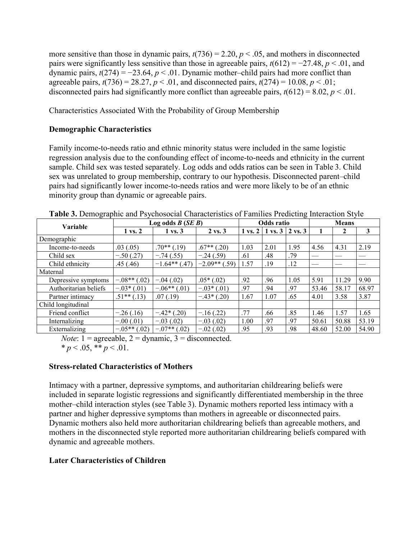more sensitive than those in dynamic pairs,  $t(736) = 2.20$ ,  $p < .05$ , and mothers in disconnected pairs were significantly less sensitive than those in agreeable pairs, *t*(612) = −27.48, *p* < .01, and dynamic pairs,  $t(274) = -23.64$ ,  $p < .01$ . Dynamic mother–child pairs had more conflict than agreeable pairs,  $t(736) = 28.27$ ,  $p < .01$ , and disconnected pairs,  $t(274) = 10.08$ ,  $p < .01$ ; disconnected pairs had significantly more conflict than agreeable pairs,  $t(612) = 8.02$ ,  $p < .01$ .

Characteristics Associated With the Probability of Group Membership

#### **Demographic Characteristics**

Family income-to-needs ratio and ethnic minority status were included in the same logistic regression analysis due to the confounding effect of income-to-needs and ethnicity in the current sample. Child sex was tested separately. Log odds and odds ratios can be seen in Table 3. Child sex was unrelated to group membership, contrary to our hypothesis. Disconnected parent–child pairs had significantly lower income‐to‐needs ratios and were more likely to be of an ethnic minority group than dynamic or agreeable pairs.

| $\frac{1}{2}$ interesting the contract of $\frac{1}{2}$ is a seriously interested by $\frac{1}{2}$ |                    |                    |                    |      |                                                                |      |              |       |       |  |
|----------------------------------------------------------------------------------------------------|--------------------|--------------------|--------------------|------|----------------------------------------------------------------|------|--------------|-------|-------|--|
| Variable                                                                                           | Log odds $B(SE B)$ |                    |                    |      | <b>Odds</b> ratio                                              |      | <b>Means</b> |       |       |  |
|                                                                                                    | $1 \text{ vs. } 2$ | $1 \text{ vs. } 3$ | $2 \text{ vs. } 3$ |      | $1 \text{ vs. } 2 \mid 1 \text{ vs. } 3 \mid 2 \text{ vs. } 3$ |      |              | 2     | 3     |  |
| Demographic                                                                                        |                    |                    |                    |      |                                                                |      |              |       |       |  |
| Income-to-needs                                                                                    | .03(0.05)          | $.70**$ (.19)      | $.67**$ (.20)      | 1.03 | 2.01                                                           | 1.95 | 4.56         | 4.31  | 2.19  |  |
| Child sex                                                                                          | $-.50(.27)$        | $-.74(.55)$        | $-.24(.59)$        | .61  | .48                                                            | .79  |              |       |       |  |
| Child ethnicity                                                                                    | .45(.46)           | $-1.64**$ (.47)    | $-2.09**$ (.59)    | 1.57 | .19                                                            | .12  |              |       |       |  |
| Maternal                                                                                           |                    |                    |                    |      |                                                                |      |              |       |       |  |
| Depressive symptoms                                                                                | $-.08**(.02)$      | $-.04(.02)$        | $.05*(.02)$        | .92  | .96                                                            | 1.05 | 5.91         | 11.29 | 9.90  |  |
| Authoritarian beliefs                                                                              | $-.03*(.01)$       | $-.06**(.01)$      | $-.03*(.01)$       | .97  | .94                                                            | .97  | 53.46        | 58.17 | 68.97 |  |
| Partner intimacy                                                                                   | $.51**(.13)$       | .07(0.19)          | $-.43*(.20)$       | 1.67 | 1.07                                                           | .65  | 4.01         | 3.58  | 3.87  |  |
| Child longitudinal                                                                                 |                    |                    |                    |      |                                                                |      |              |       |       |  |
| Friend conflict                                                                                    | $-.26(.16)$        | $-.42*(.20)$       | $-.16(.22)$        | .77  | .66                                                            | .85  | 1.46         | 1.57  | 1.65  |  |
| Internalizing                                                                                      | $-.00(.01)$        | $-.03(.02)$        | $-.03(.02)$        | 1.00 | .97                                                            | .97  | 50.61        | 50.88 | 53.19 |  |
| Externalizing                                                                                      | $-.05**(.02)$      | $-.07**(.02)$      | $-.02$ (.02)       | .95  | .93                                                            | .98  | 48.60        | 52.00 | 54.90 |  |

**Table 3.** Demographic and Psychosocial Characteristics of Families Predicting Interaction Style

*Note*:  $1 =$  agreeable,  $2 =$  dynamic,  $3 =$  disconnected.  $* p < .05, ** p < .01.$ 

#### **Stress‐related Characteristics of Mothers**

Intimacy with a partner, depressive symptoms, and authoritarian childrearing beliefs were included in separate logistic regressions and significantly differentiated membership in the three mother–child interaction styles (see Table 3). Dynamic mothers reported less intimacy with a partner and higher depressive symptoms than mothers in agreeable or disconnected pairs. Dynamic mothers also held more authoritarian childrearing beliefs than agreeable mothers, and mothers in the disconnected style reported more authoritarian childrearing beliefs compared with dynamic and agreeable mothers.

#### **Later Characteristics of Children**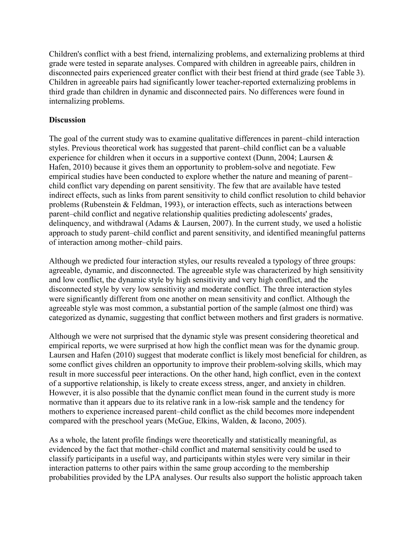Children's conflict with a best friend, internalizing problems, and externalizing problems at third grade were tested in separate analyses. Compared with children in agreeable pairs, children in disconnected pairs experienced greater conflict with their best friend at third grade (see Table 3). Children in agreeable pairs had significantly lower teacher‐reported externalizing problems in third grade than children in dynamic and disconnected pairs. No differences were found in internalizing problems.

#### **Discussion**

The goal of the current study was to examine qualitative differences in parent–child interaction styles. Previous theoretical work has suggested that parent–child conflict can be a valuable experience for children when it occurs in a supportive context (Dunn, 2004; Laursen & Hafen, 2010) because it gives them an opportunity to problem‐solve and negotiate. Few empirical studies have been conducted to explore whether the nature and meaning of parent– child conflict vary depending on parent sensitivity. The few that are available have tested indirect effects, such as links from parent sensitivity to child conflict resolution to child behavior problems (Rubenstein & Feldman, 1993), or interaction effects, such as interactions between parent–child conflict and negative relationship qualities predicting adolescents' grades, delinquency, and withdrawal (Adams & Laursen, 2007). In the current study, we used a holistic approach to study parent–child conflict and parent sensitivity, and identified meaningful patterns of interaction among mother–child pairs.

Although we predicted four interaction styles, our results revealed a typology of three groups: agreeable, dynamic, and disconnected. The agreeable style was characterized by high sensitivity and low conflict, the dynamic style by high sensitivity and very high conflict, and the disconnected style by very low sensitivity and moderate conflict. The three interaction styles were significantly different from one another on mean sensitivity and conflict. Although the agreeable style was most common, a substantial portion of the sample (almost one third) was categorized as dynamic, suggesting that conflict between mothers and first graders is normative.

Although we were not surprised that the dynamic style was present considering theoretical and empirical reports, we were surprised at how high the conflict mean was for the dynamic group. Laursen and Hafen (2010) suggest that moderate conflict is likely most beneficial for children, as some conflict gives children an opportunity to improve their problem-solving skills, which may result in more successful peer interactions. On the other hand, high conflict, even in the context of a supportive relationship, is likely to create excess stress, anger, and anxiety in children. However, it is also possible that the dynamic conflict mean found in the current study is more normative than it appears due to its relative rank in a low‐risk sample and the tendency for mothers to experience increased parent–child conflict as the child becomes more independent compared with the preschool years (McGue, Elkins, Walden, & Iacono, 2005).

As a whole, the latent profile findings were theoretically and statistically meaningful, as evidenced by the fact that mother–child conflict and maternal sensitivity could be used to classify participants in a useful way, and participants within styles were very similar in their interaction patterns to other pairs within the same group according to the membership probabilities provided by the LPA analyses. Our results also support the holistic approach taken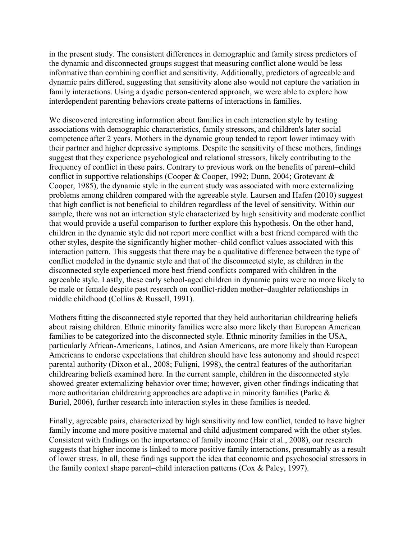in the present study. The consistent differences in demographic and family stress predictors of the dynamic and disconnected groups suggest that measuring conflict alone would be less informative than combining conflict and sensitivity. Additionally, predictors of agreeable and dynamic pairs differed, suggesting that sensitivity alone also would not capture the variation in family interactions. Using a dyadic person-centered approach, we were able to explore how interdependent parenting behaviors create patterns of interactions in families.

We discovered interesting information about families in each interaction style by testing associations with demographic characteristics, family stressors, and children's later social competence after 2 years. Mothers in the dynamic group tended to report lower intimacy with their partner and higher depressive symptoms. Despite the sensitivity of these mothers, findings suggest that they experience psychological and relational stressors, likely contributing to the frequency of conflict in these pairs. Contrary to previous work on the benefits of parent–child conflict in supportive relationships (Cooper & Cooper, 1992; Dunn, 2004; Grotevant & Cooper, 1985), the dynamic style in the current study was associated with more externalizing problems among children compared with the agreeable style. Laursen and Hafen (2010) suggest that high conflict is not beneficial to children regardless of the level of sensitivity. Within our sample, there was not an interaction style characterized by high sensitivity and moderate conflict that would provide a useful comparison to further explore this hypothesis. On the other hand, children in the dynamic style did not report more conflict with a best friend compared with the other styles, despite the significantly higher mother–child conflict values associated with this interaction pattern. This suggests that there may be a qualitative difference between the type of conflict modeled in the dynamic style and that of the disconnected style, as children in the disconnected style experienced more best friend conflicts compared with children in the agreeable style. Lastly, these early school‐aged children in dynamic pairs were no more likely to be male or female despite past research on conflict-ridden mother-daughter relationships in middle childhood (Collins & Russell, 1991).

Mothers fitting the disconnected style reported that they held authoritarian childrearing beliefs about raising children. Ethnic minority families were also more likely than European American families to be categorized into the disconnected style. Ethnic minority families in the USA, particularly African‐Americans, Latinos, and Asian Americans, are more likely than European Americans to endorse expectations that children should have less autonomy and should respect parental authority (Dixon et al., 2008; Fuligni, 1998), the central features of the authoritarian childrearing beliefs examined here. In the current sample, children in the disconnected style showed greater externalizing behavior over time; however, given other findings indicating that more authoritarian childrearing approaches are adaptive in minority families (Parke & Buriel, 2006), further research into interaction styles in these families is needed.

Finally, agreeable pairs, characterized by high sensitivity and low conflict, tended to have higher family income and more positive maternal and child adjustment compared with the other styles. Consistent with findings on the importance of family income (Hair et al., 2008), our research suggests that higher income is linked to more positive family interactions, presumably as a result of lower stress. In all, these findings support the idea that economic and psychosocial stressors in the family context shape parent–child interaction patterns (Cox & Paley, 1997).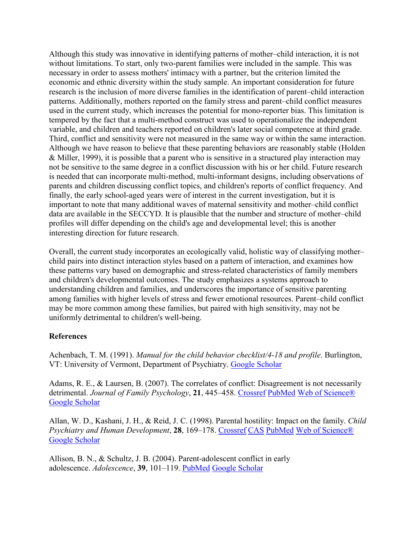Although this study was innovative in identifying patterns of mother–child interaction, it is not without limitations. To start, only two-parent families were included in the sample. This was necessary in order to assess mothers' intimacy with a partner, but the criterion limited the economic and ethnic diversity within the study sample. An important consideration for future research is the inclusion of more diverse families in the identification of parent–child interaction patterns. Additionally, mothers reported on the family stress and parent–child conflict measures used in the current study, which increases the potential for mono-reporter bias. This limitation is tempered by the fact that a multi‐method construct was used to operationalize the independent variable, and children and teachers reported on children's later social competence at third grade. Third, conflict and sensitivity were not measured in the same way or within the same interaction. Although we have reason to believe that these parenting behaviors are reasonably stable (Holden & Miller, 1999), it is possible that a parent who is sensitive in a structured play interaction may not be sensitive to the same degree in a conflict discussion with his or her child. Future research is needed that can incorporate multi‐method, multi‐informant designs, including observations of parents and children discussing conflict topics, and children's reports of conflict frequency. And finally, the early school-aged years were of interest in the current investigation, but it is important to note that many additional waves of maternal sensitivity and mother–child conflict data are available in the SECCYD. It is plausible that the number and structure of mother–child profiles will differ depending on the child's age and developmental level; this is another interesting direction for future research.

Overall, the current study incorporates an ecologically valid, holistic way of classifying mother– child pairs into distinct interaction styles based on a pattern of interaction, and examines how these patterns vary based on demographic and stress‐related characteristics of family members and children's developmental outcomes. The study emphasizes a systems approach to understanding children and families, and underscores the importance of sensitive parenting among families with higher levels of stress and fewer emotional resources. Parent–child conflict may be more common among these families, but paired with high sensitivity, may not be uniformly detrimental to children's well‐being.

#### **References**

Achenbach, T. M. (1991). *Manual for the child behavior checklist/4‐18 and profile*. Burlington, VT: University of Vermont, Department of Psychiatry. [Google Scholar](http://scholar.google.com/scholar_lookup?hl=en&publication_year=1991&pages=%0AAchenbach%2C+T.+M.+%281991%29.+Manual+for+the+child+behavior+checklist%2F4%E2%80%9018+and+profile.+Burlington%2C+VT%3A+University+of+Vermont%2C+Department+of+Psychiatry.&author=T.+M.+Achenbach&title=Manual+for+the+child+behavior+checklist%2F4%E2%80%9018+and+profile)

Adams, R. E., & Laursen, B. (2007). The correlates of conflict: Disagreement is not necessarily detrimental. *Journal of Family Psychology*, **21**, 445–458. [Crossref](https://onlinelibrary.wiley.com/servlet/linkout?suffix=null&dbid=16&doi=10.1111%2Fsode.12040&key=10.1037%2F0893-3200.21.3.445) [PubMed](https://onlinelibrary.wiley.com/servlet/linkout?suffix=null&dbid=8&doi=10.1111%2Fsode.12040&key=17874930) [Web of Science®](https://onlinelibrary.wiley.com/servlet/linkout?suffix=null&dbid=128&doi=10.1111%2Fsode.12040&key=000249352200013) [Google Scholar](http://scholar.google.com/scholar_lookup?hl=en&volume=Journal+of+Family+Psychology&publication_year=2007&pages=%0AAdams%2C+R.+E.%2C+%26+Laursen%2C+B.+%282007%29.+The+correlates+of+conflict%3A+Disagreement+is+not+necessarily+detrimental.+Journal+of+Family+Psychology%2C+21%2C+445%E2%80%93458.&journal=445-458&issue=21&author=R.+E.+Adamsauthor=B.+Laursen&title=The+correlates+of+conflict%3A+Disagreement+is+not+necessarily+detrimental&)

Allan, W. D., Kashani, J. H., & Reid, J. C. (1998). Parental hostility: Impact on the family. *Child Psychiatry and Human Development*, **28**, 169–178. [Crossref](https://onlinelibrary.wiley.com/servlet/linkout?suffix=null&dbid=16&doi=10.1111%2Fsode.12040&key=10.1023%2FA%3A1022833810248) [CAS](https://onlinelibrary.wiley.com/servlet/linkout?suffix=null&dbid=32&doi=10.1111%2Fsode.12040&key=1%3ASTN%3A280%3ADyaK1c3gtFSlsQ%253D%253D) [PubMed](https://onlinelibrary.wiley.com/servlet/linkout?suffix=null&dbid=8&doi=10.1111%2Fsode.12040&key=9540240) [Web of Science®](https://onlinelibrary.wiley.com/servlet/linkout?suffix=null&dbid=128&doi=10.1111%2Fsode.12040&key=000072516800003) [Google Scholar](http://scholar.google.com/scholar_lookup?hl=en&volume=Child+Psychiatry+and+Human+Development&publication_year=1998&pages=%0AAllan%2C+W.+D.%2C+Kashani%2C+J.+H.%2C+%26+Reid%2C+J.+C.+%281998%29.+Parental+hostility%3A+Impact+on+the+family.+Child+Psychiatry+and+Human+Development%2C+28%2C+169%E2%80%93178.&journal=169-178&issue=28&author=W.+D.+Allanauthor=J.+H.+Kashaniauthor=J.+C.+Reid&title=Parental+hostility%3A+Impact+on+the+family&)

Allison, B. N., & Schultz, J. B. (2004). Parent‐adolescent conflict in early adolescence. *Adolescence*, **39**, 101–119. [PubMed](https://onlinelibrary.wiley.com/servlet/linkout?suffix=null&dbid=8&doi=10.1111%2Fsode.12040&key=15230069) [Google Scholar](http://scholar.google.com/scholar_lookup?hl=en&volume=Adolescence&publication_year=2004&pages=%0AAllison%2C+B.+N.%2C+%26+Schultz%2C+J.+B.+%282004%29.+Parent%E2%80%90adolescent+conflict+in+early+adolescence.+Adolescence%2C+39%2C+101%E2%80%93119.&journal=101-119&issue=39&author=B.+N.+Allisonauthor=J.+B.+Schultz&title=Parent%E2%80%90adolescent+conflict+in+early+adolescence&)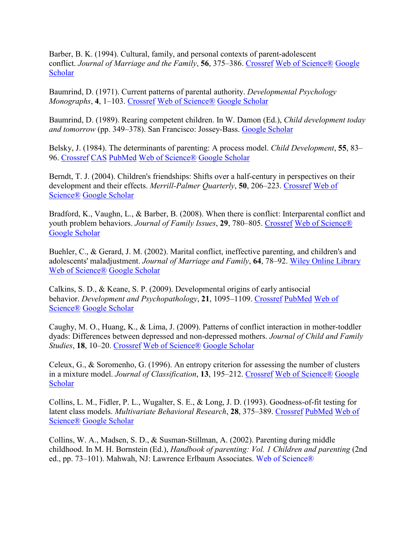Barber, B. K. (1994). Cultural, family, and personal contexts of parent-adolescent conflict. *Journal of Marriage and the Family*, **56**, 375–386. [Crossref](https://onlinelibrary.wiley.com/servlet/linkout?suffix=null&dbid=16&doi=10.1111%2Fsode.12040&key=10.2307%2F353106) [Web of Science®](https://onlinelibrary.wiley.com/servlet/linkout?suffix=null&dbid=128&doi=10.1111%2Fsode.12040&key=A1994NN60600009) [Google](http://scholar.google.com/scholar_lookup?hl=en&volume=Journal+of+Marriage+and+the+Family&publication_year=1994&pages=%0ABarber%2C+B.+K.+%281994%29.+Cultural%2C+family%2C+and+personal+contexts+of+parent%E2%80%90adolescent+conflict.+Journal+of+Marriage+and+the+Family%2C+56%2C+375%E2%80%93386.&journal=375-386&issue=56&author=B.+K.+Barber&title=Cultural%2C+family%2C+and+personal+contexts+of+parent%E2%80%90adolescent+conflict&)  [Scholar](http://scholar.google.com/scholar_lookup?hl=en&volume=Journal+of+Marriage+and+the+Family&publication_year=1994&pages=%0ABarber%2C+B.+K.+%281994%29.+Cultural%2C+family%2C+and+personal+contexts+of+parent%E2%80%90adolescent+conflict.+Journal+of+Marriage+and+the+Family%2C+56%2C+375%E2%80%93386.&journal=375-386&issue=56&author=B.+K.+Barber&title=Cultural%2C+family%2C+and+personal+contexts+of+parent%E2%80%90adolescent+conflict&)

Baumrind, D. (1971). Current patterns of parental authority. *Developmental Psychology Monographs*, **4**, 1–103. [Crossref](https://onlinelibrary.wiley.com/servlet/linkout?suffix=null&dbid=16&doi=10.1111%2Fsode.12040&key=10.1037%2Fh0030372) [Web of Science®](https://onlinelibrary.wiley.com/servlet/linkout?suffix=null&dbid=128&doi=10.1111%2Fsode.12040&key=A1971I518000001) [Google Scholar](http://scholar.google.com/scholar_lookup?hl=en&volume=Developmental+Psychology+Monographs&publication_year=1971&pages=%0ABaumrind%2C+D.+%281971%29.+Current+patterns+of+parental+authority.+Developmental+Psychology+Monographs%2C+4%2C+1%E2%80%93103.&journal=1-103&issue=4&author=D.+Baumrind&title=Current+patterns+of+parental+authority&)

Baumrind, D. (1989). Rearing competent children. In W. Damon (Ed.), *Child development today and tomorrow* (pp. 349–378). San Francisco: Jossey‐Bass. [Google Scholar](http://scholar.google.com/scholar_lookup?hl=en&volume=Developmental+Psychology+Monographs&publication_year=1989&pages=%0ABaumrind%2C+D.+%281989%29.+Rearing+competent+children.+In+%0AW.+Damon%0A+%28Ed.%29%2C+Child+development+today+and+tomorrow+%28pp.+349%E2%80%93378%29.+San+Francisco%3A+Jossey%E2%80%90Bass.&journal=1-103&issue=4&author=D.+Baumrind&isbn=349-378&title=Child+development+today+and+tomorrow&)

Belsky, J. (1984). The determinants of parenting: A process model. *Child Development*, **55**, 83– 96. [Crossref](https://onlinelibrary.wiley.com/servlet/linkout?suffix=null&dbid=16&doi=10.1111%2Fsode.12040&key=10.2307%2F1129836) [CAS](https://onlinelibrary.wiley.com/servlet/linkout?suffix=null&dbid=32&doi=10.1111%2Fsode.12040&key=1%3ASTN%3A280%3ADyaL2c7lsl2rsw%253D%253D) [PubMed](https://onlinelibrary.wiley.com/servlet/linkout?suffix=null&dbid=8&doi=10.1111%2Fsode.12040&key=6705636) [Web of Science®](https://onlinelibrary.wiley.com/servlet/linkout?suffix=null&dbid=128&doi=10.1111%2Fsode.12040&key=A1984SE98400007) [Google Scholar](http://scholar.google.com/scholar_lookup?hl=en&volume=Child+Development&publication_year=1984&pages=%0ABelsky%2C+J.+%281984%29.+The+determinants+of+parenting%3A+A+process+model.+Child+Development%2C+55%2C+83%E2%80%9396.&journal=83-96&issue=55&author=J.+Belsky&isbn=349-378&title=The+determinants+of+parenting%3A+A+process+model&)

Berndt, T. J. (2004). Children's friendships: Shifts over a half-century in perspectives on their development and their effects. *Merrill‐Palmer Quarterly*, **50**, 206–223. [Crossref](https://onlinelibrary.wiley.com/servlet/linkout?suffix=null&dbid=16&doi=10.1111%2Fsode.12040&key=10.1353%2Fmpq.2004.0014) [Web of](https://onlinelibrary.wiley.com/servlet/linkout?suffix=null&dbid=128&doi=10.1111%2Fsode.12040&key=000223252100002)  [Science®](https://onlinelibrary.wiley.com/servlet/linkout?suffix=null&dbid=128&doi=10.1111%2Fsode.12040&key=000223252100002) [Google Scholar](http://scholar.google.com/scholar_lookup?hl=en&volume=Merrill%E2%80%90Palmer+Quarterly&publication_year=2004&pages=%0ABerndt%2C+T.+J.+%282004%29.+Children%27s+friendships%3A+Shifts+over+a+half%E2%80%90century+in+perspectives+on+their+development+and+their+effects.+Merrill%E2%80%90Palmer+Quarterly%2C+50%2C+206%E2%80%93223.&journal=206-223&issue=50&author=T.+J.+Berndt&isbn=349-378&title=Children%27s+friendships%3A+Shifts+over+a+half%E2%80%90century+in+perspectives+on+their+development+and+their+effects&)

Bradford, K., Vaughn, L., & Barber, B. (2008). When there is conflict: Interparental conflict and youth problem behaviors. *Journal of Family Issues*, **29**, 780–805. [Crossref](https://onlinelibrary.wiley.com/servlet/linkout?suffix=null&dbid=16&doi=10.1111%2Fsode.12040&key=10.1177%2F0192513X07308043) [Web of Science®](https://onlinelibrary.wiley.com/servlet/linkout?suffix=null&dbid=128&doi=10.1111%2Fsode.12040&key=000255572000004) [Google Scholar](http://scholar.google.com/scholar_lookup?hl=en&volume=Journal+of+Family+Issues&publication_year=2008&pages=%0ABradford%2C+K.%2C+Vaughn%2C+L.%2C+%26+Barber%2C+B.+%282008%29.+When+there+is+conflict%3A+Interparental+conflict+and+youth+problem+behaviors.+Journal+of+Family+Issues%2C+29%2C+780%E2%80%93805.&journal=780-805&issue=29&author=K.+Bradfordauthor=L.+Vaughnauthor=B.+Barber&isbn=349-378&title=When+there+is+conflict%3A+Interparental+conflict+and+youth+problem+behaviors&)

Buehler, C., & Gerard, J. M. (2002). Marital conflict, ineffective parenting, and children's and adolescents' maladjustment. *Journal of Marriage and Family*, **64**, 78–92. [Wiley Online Library](https://onlinelibrary.wiley.com/doi/10.1111/j.1741-3737.2002.00078.x) [Web of Science®](https://onlinelibrary.wiley.com/servlet/linkout?suffix=null&dbid=128&doi=10.1111%2Fsode.12040&key=000173835400008) [Google Scholar](http://scholar.google.com/scholar_lookup?hl=en&volume=Journal+of+Marriage+and+Family&publication_year=2002&pages=%0ABuehler%2C+C.%2C+%26+Gerard%2C+J.+M.+%282002%29.+Marital+conflict%2C+ineffective+parenting%2C+and+children%27s+and+adolescents%27+maladjustment.+Journal+of+Marriage+and+Family%2C+64%2C+78%E2%80%9392.&journal=78-92&issue=64&author=C.+Buehlerauthor=J.+M.+Gerard&isbn=349-378&title=Marital+conflict%2C+ineffective+parenting%2C+and+children%27s+and+adolescents%27+maladjustment&)

Calkins, S. D., & Keane, S. P. (2009). Developmental origins of early antisocial behavior. *Development and Psychopathology*, **21**, 1095–1109. [Crossref](https://onlinelibrary.wiley.com/servlet/linkout?suffix=null&dbid=16&doi=10.1111%2Fsode.12040&key=10.1017%2FS095457940999006X) [PubMed](https://onlinelibrary.wiley.com/servlet/linkout?suffix=null&dbid=8&doi=10.1111%2Fsode.12040&key=19825259) [Web of](https://onlinelibrary.wiley.com/servlet/linkout?suffix=null&dbid=128&doi=10.1111%2Fsode.12040&key=000271181000004)  [Science®](https://onlinelibrary.wiley.com/servlet/linkout?suffix=null&dbid=128&doi=10.1111%2Fsode.12040&key=000271181000004) [Google Scholar](http://scholar.google.com/scholar_lookup?hl=en&volume=Development+and+Psychopathology&publication_year=2009&pages=%0ACalkins%2C+S.+D.%2C+%26+Keane%2C+S.+P.+%282009%29.+Developmental+origins+of+early+antisocial+behavior.+Development+and+Psychopathology%2C+21%2C+1095%E2%80%931109.&journal=1095-1109&issue=21&author=S.+D.+Calkinsauthor=S.+P.+Keane&isbn=349-378&title=Developmental+origins+of+early+antisocial+behavior&)

Caughy, M. O., Huang, K., & Lima, J. (2009). Patterns of conflict interaction in mother‐toddler dyads: Differences between depressed and non‐depressed mothers. *Journal of Child and Family Studies*, **18**, 10–20. [Crossref](https://onlinelibrary.wiley.com/servlet/linkout?suffix=null&dbid=16&doi=10.1111%2Fsode.12040&key=10.1007%2Fs10826-008-9201-6) [Web of Science®](https://onlinelibrary.wiley.com/servlet/linkout?suffix=null&dbid=128&doi=10.1111%2Fsode.12040&key=000270840200002) [Google Scholar](http://scholar.google.com/scholar_lookup?hl=en&volume=Journal+of+Child+and+Family+Studies&publication_year=2009&pages=%0ACaughy%2C+M.+O.%2C+Huang%2C+K.%2C+%26+Lima%2C+J.+%282009%29.+Patterns+of+conflict+interaction+in+mother%E2%80%90toddler+dyads%3A+Differences+between+depressed+and+non%E2%80%90depressed+mothers.+Journal+of+Child+and+Family+Studies%2C+18%2C+10%E2%80%9320.&journal=10-20&issue=18&author=M.+O.+Caughyauthor=K.+Huangauthor=J.+Lima&isbn=349-378&title=Patterns+of+conflict+interaction+in+mother%E2%80%90toddler+dyads%3A+Differences+between+depressed+and+non%E2%80%90depressed+mothers&)

Celeux, G., & Soromenho, G. (1996). An entropy criterion for assessing the number of clusters in a mixture model. *Journal of Classification*, **13**, 195–212. [Crossref](https://onlinelibrary.wiley.com/servlet/linkout?suffix=null&dbid=16&doi=10.1111%2Fsode.12040&key=10.1007%2FBF01246098) [Web of Science®](https://onlinelibrary.wiley.com/servlet/linkout?suffix=null&dbid=128&doi=10.1111%2Fsode.12040&key=A1996VP96000001) [Google](http://scholar.google.com/scholar_lookup?hl=en&volume=Journal+of+Classification&publication_year=1996&pages=%0ACeleux%2C+G.%2C+%26+Soromenho%2C+G.+%281996%29.+An+entropy+criterion+for+assessing+the+number+of+clusters+in+a+mixture+model.+Journal+of+Classification%2C+13%2C+195%E2%80%93212.&journal=195-212&issue=13&author=G.+Celeuxauthor=G.+Soromenho&isbn=349-378&title=An+entropy+criterion+for+assessing+the+number+of+clusters+in+a+mixture+model&)  [Scholar](http://scholar.google.com/scholar_lookup?hl=en&volume=Journal+of+Classification&publication_year=1996&pages=%0ACeleux%2C+G.%2C+%26+Soromenho%2C+G.+%281996%29.+An+entropy+criterion+for+assessing+the+number+of+clusters+in+a+mixture+model.+Journal+of+Classification%2C+13%2C+195%E2%80%93212.&journal=195-212&issue=13&author=G.+Celeuxauthor=G.+Soromenho&isbn=349-378&title=An+entropy+criterion+for+assessing+the+number+of+clusters+in+a+mixture+model&)

Collins, L. M., Fidler, P. L., Wugalter, S. E., & Long, J. D. (1993). Goodness‐of‐fit testing for latent class models. *Multivariate Behavioral Research*, **28**, 375–389. [Crossref](https://onlinelibrary.wiley.com/servlet/linkout?suffix=null&dbid=16&doi=10.1111%2Fsode.12040&key=10.1207%2Fs15327906mbr2803_4) [PubMed](https://onlinelibrary.wiley.com/servlet/linkout?suffix=null&dbid=8&doi=10.1111%2Fsode.12040&key=26776893) [Web of](https://onlinelibrary.wiley.com/servlet/linkout?suffix=null&dbid=128&doi=10.1111%2Fsode.12040&key=A1993MH86800004)  [Science®](https://onlinelibrary.wiley.com/servlet/linkout?suffix=null&dbid=128&doi=10.1111%2Fsode.12040&key=A1993MH86800004) [Google Scholar](http://scholar.google.com/scholar_lookup?hl=en&volume=Multivariate+Behavioral+Research&publication_year=1993&pages=%0ACollins%2C+L.+M.%2C+Fidler%2C+P.+L.%2C+Wugalter%2C+S.+E.%2C+%26+Long%2C+J.+D.+%281993%29.+Goodness%E2%80%90of%E2%80%90fit+testing+for+latent+class+models.+Multivariate+Behavioral+Research%2C+28%2C+375%E2%80%93389.&journal=375-389&issue=28&author=L.+M.+Collinsauthor=P.+L.+Fidlerauthor=S.+E.+Wugalterauthor=J.+D.+Long&isbn=349-378&title=Goodness%E2%80%90of%E2%80%90fit+testing+for+latent+class+models&)

Collins, W. A., Madsen, S. D., & Susman‐Stillman, A. (2002). Parenting during middle childhood. In M. H. Bornstein (Ed.), *Handbook of parenting: Vol. 1 Children an[d parenting](http://scholar.google.com/scholar_lookup?hl=en&volume=Multivariate+Behavioral+Research&publication_year=2002&pages=%0ACollins%2C+W.+A.%2C+Madsen%2C+S.+D.%2C+%26+Susman%E2%80%90Stillman%2C+A.+%282002%29.+Parenting+during+middle+childhood.+In+%0AM.+H.+Bornstein%0A+%28Ed.%29%2C+Handbook+of+parenting%3A+Vol.+1+Children+and+parenting+%282nd+ed.%2C+pp.+73%E2%80%93101%29.+Mahwah%2C+NJ%3A+Lawrence+Erlbaum+Associates.&journal=375-389&issue=28&author=W.+A.+Collinsauthor=S.+D.+Madsenauthor=A.+Susman%E2%80%90Stillman&isbn=73-101&title=Handbook+of+parenting%3A+Vol.+1+Children+and+parenting&)* (2nd ed., pp. 73–101). Mahwah, NJ: Lawrence Erlbaum Associates. [Web of Science®](https://onlinelibrary.wiley.com/servlet/linkout?suffix=null&dbid=128&doi=10.1111%2Fsode.12040&key=000176325900090)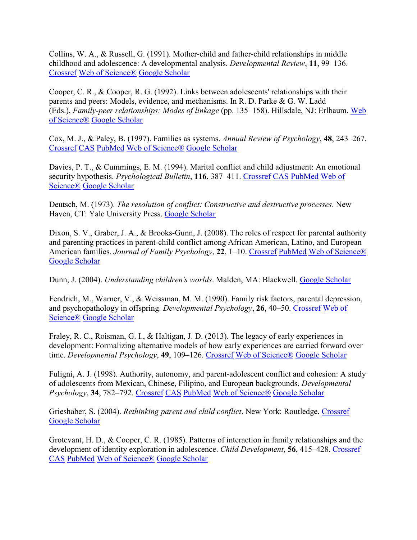Collins, W. A., & Russell, G. (1991). Mother‐child and father‐child relationships in middle childhood and adolescence: A developmental analysis. *Developmental Review*, **11**, 99–136. [Crossref](https://onlinelibrary.wiley.com/servlet/linkout?suffix=null&dbid=16&doi=10.1111%2Fsode.12040&key=10.1016%2F0273-2297%2891%2990004-8) [Web of Science®](https://onlinelibrary.wiley.com/servlet/linkout?suffix=null&dbid=128&doi=10.1111%2Fsode.12040&key=A1991FP53300001) [Google Scholar](http://scholar.google.com/scholar_lookup?hl=en&volume=Developmental+Review&publication_year=1991&pages=%0ACollins%2C+W.+A.%2C+%26+Russell%2C+G.+%281991%29.+Mother%E2%80%90child+and+father%E2%80%90child+relationships+in+middle+childhood+and+adolescence%3A+A+developmental+analysis.+Developmental+Review%2C+11%2C+99%E2%80%93136.&journal=99-136&issue=11&author=W.+A.+Collinsauthor=G.+Russell&isbn=73-101&title=Mother%E2%80%90child+and+father%E2%80%90child+relationships+in+middle+childhood+and+adolescence%3A+A+developmental+analysis&)

Cooper, C. R., & Cooper, R. G. (1992). Links between adolescents' relationships with their parents and peers: Models, evidence, and mechanisms. In R. D. Parke & G. W. Ladd (Eds.), *Family‐peer relationships: Modes of linkage* (pp. 135–158). Hillsdale, NJ: Erlbaum. [Web](https://onlinelibrary.wiley.com/servlet/linkout?suffix=null&dbid=128&doi=10.1111%2Fsode.12040&key=A1992JJ58200017)  [of Science®](https://onlinelibrary.wiley.com/servlet/linkout?suffix=null&dbid=128&doi=10.1111%2Fsode.12040&key=A1992JJ58200017) [Google Scholar](http://scholar.google.com/scholar_lookup?hl=en&volume=Developmental+Review&publication_year=1992&pages=%0ACooper%2C+C.+R.%2C+%26+Cooper%2C+R.+G.+%281992%29.+Links+between+adolescents%27+relationships+with+their+parents+and+peers%3A+Models%2C+evidence%2C+and+mechanisms.+In+%0AR.+D.+Parke%0A+%26+%0AG.+W.+Ladd%0A+%28Eds.%29%2C+Family%E2%80%90peer+relationships%3A+Modes+of+linkage+%28pp.+135%E2%80%93158%29.+Hillsdale%2C+NJ%3A+Erlbaum.&journal=99-136&issue=11&author=C.+R.+Cooperauthor=R.+G.+Cooper&isbn=135-158&title=Family%E2%80%90peer+relationships%3A+Modes+of+linkage&)

Cox, M. J., & Paley, B. (1997). Families as systems. *Annual Review of Psychology*, **48**, 243–267. [Crossref](https://onlinelibrary.wiley.com/servlet/linkout?suffix=null&dbid=16&doi=10.1111%2Fsode.12040&key=10.1146%2Fannurev.psych.48.1.243) [CAS](https://onlinelibrary.wiley.com/servlet/linkout?suffix=null&dbid=32&doi=10.1111%2Fsode.12040&key=1%3ASTN%3A280%3ADyaK2s7pvVGiug%253D%253D) [PubMed](https://onlinelibrary.wiley.com/servlet/linkout?suffix=null&dbid=8&doi=10.1111%2Fsode.12040&key=9046561) [Web of Science®](https://onlinelibrary.wiley.com/servlet/linkout?suffix=null&dbid=128&doi=10.1111%2Fsode.12040&key=A1997WH48000010) [Google Scholar](http://scholar.google.com/scholar_lookup?hl=en&volume=Annual+Review+of+Psychology&publication_year=1997&pages=%0ACox%2C+M.+J.%2C+%26+Paley%2C+B.+%281997%29.+Families+as+systems.+Annual+Review+of+Psychology%2C+48%2C+243%E2%80%93267.&journal=243-267&issue=48&author=M.+J.+Coxauthor=B.+Paley&isbn=135-158&title=Families+as+systems&)

Davies, P. T., & Cummings, E. M. (1994). Marital conflict and child adjustment: An emotional security hypothesis. *Psychological Bulletin*, **116**, 387–411. [Crossref](https://onlinelibrary.wiley.com/servlet/linkout?suffix=null&dbid=16&doi=10.1111%2Fsode.12040&key=10.1037%2F0033-2909.116.3.387) [CAS](https://onlinelibrary.wiley.com/servlet/linkout?suffix=null&dbid=32&doi=10.1111%2Fsode.12040&key=1%3ASTN%3A280%3ADyaK2M7gvVagtw%253D%253D) [PubMed](https://onlinelibrary.wiley.com/servlet/linkout?suffix=null&dbid=8&doi=10.1111%2Fsode.12040&key=7809306) [Web of](https://onlinelibrary.wiley.com/servlet/linkout?suffix=null&dbid=128&doi=10.1111%2Fsode.12040&key=A1994PR26200001)  [Science®](https://onlinelibrary.wiley.com/servlet/linkout?suffix=null&dbid=128&doi=10.1111%2Fsode.12040&key=A1994PR26200001) [Google Scholar](http://scholar.google.com/scholar_lookup?hl=en&volume=Psychological+Bulletin&publication_year=1994&pages=%0ADavies%2C+P.+T.%2C+%26+Cummings%2C+E.+M.+%281994%29.+Marital+conflict+and+child+adjustment%3A+An+emotional+security+hypothesis.+Psychological+Bulletin%2C+116%2C+387%E2%80%93411.&journal=387-411&issue=116&author=P.+T.+Daviesauthor=E.+M.+Cummings&isbn=135-158&title=Marital+conflict+and+child+adjustment%3A+An+emotional+security+hypothesis&)

Deutsch, M. (1973). *The resolution of conflict: Constructive and destructive processes*. New Haven, CT: Yale University Press. [Google Scholar](http://scholar.google.com/scholar_lookup?hl=en&volume=Psychological+Bulletin&publication_year=1973&pages=%0ADeutsch%2C+M.+%281973%29.+The+resolution+of+conflict%3A+Constructive+and+destructive+processes.+New+Haven%2C+CT%3A+Yale+University+Press.&journal=387-411&issue=116&author=M.+Deutsch&title=The+resolution+of+conflict%3A+Constructive+and+destructive+processes&)

Dixon, S. V., Graber, J. A., & Brooks-Gunn, J. (2008). The roles of respect for parental authority and parenting practices in parent‐child conflict among African American, Latino, and European American families. *Journal of Family Psychology*, **22**, 1–10. [Crossref](https://onlinelibrary.wiley.com/servlet/linkout?suffix=null&dbid=16&doi=10.1111%2Fsode.12040&key=10.1037%2F0893-3200.22.1.1) [PubMed](https://onlinelibrary.wiley.com/servlet/linkout?suffix=null&dbid=8&doi=10.1111%2Fsode.12040&key=18266527) [Web of Science®](https://onlinelibrary.wiley.com/servlet/linkout?suffix=null&dbid=128&doi=10.1111%2Fsode.12040&key=000253131500001) [Google Scholar](http://scholar.google.com/scholar_lookup?hl=en&volume=Journal+of+Family+Psychology&publication_year=2008&pages=%0ADixon%2C+S.+V.%2C+Graber%2C+J.+A.%2C+%26+Brooks%E2%80%90Gunn%2C+J.+%282008%29.+The+roles+of+respect+for+parental+authority+and+parenting+practices+in+parent%E2%80%90child+conflict+among+African+American%2C+Latino%2C+and+European+American+families.+Journal+of+Family+Psychology%2C+22%2C+1%E2%80%9310.&journal=1-10&issue=22&author=S.+V.+Dixonauthor=J.+A.+Graberauthor=J.+Brooks%E2%80%90Gunn&title=The+roles+of+respect+for+parental+authority+and+parenting+practices+in+parent%E2%80%90child+conflict+among+African+American%2C+Latino%2C+and+European+American+families&)

Dunn, J. (2004). *Understanding children's worlds*. Malden, MA: Blackwell. [Google Scholar](http://scholar.google.com/scholar_lookup?hl=en&volume=Journal+of+Family+Psychology&publication_year=2004&pages=%0ADunn%2C+J.+%282004%29.+Understanding+children%27s+worlds.+Malden%2C+MA%3A+Blackwell.&journal=1-10&issue=22&author=J.+Dunn&title=Understanding+children%27s+worlds&)

Fendrich, M., Warner, V., & Weissman, M. M. (1990). Family risk factors, parental depression, and psychopathology in offspring. *Developmental Psychology*, **26**, 40–50. [Crossref](https://onlinelibrary.wiley.com/servlet/linkout?suffix=null&dbid=16&doi=10.1111%2Fsode.12040&key=10.1037%2F0012-1649.26.1.40) [Web of](https://onlinelibrary.wiley.com/servlet/linkout?suffix=null&dbid=128&doi=10.1111%2Fsode.12040&key=A1990CH46000006)  [Science®](https://onlinelibrary.wiley.com/servlet/linkout?suffix=null&dbid=128&doi=10.1111%2Fsode.12040&key=A1990CH46000006) [Google Scholar](http://scholar.google.com/scholar_lookup?hl=en&volume=Developmental+Psychology&publication_year=1990&pages=%0AFendrich%2C+M.%2C+Warner%2C+V.%2C+%26+Weissman%2C+M.+M.+%281990%29.+Family+risk+factors%2C+parental+depression%2C+and+psychopathology+in+offspring.+Developmental+Psychology%2C+26%2C+40%E2%80%9350.&journal=40-50&issue=26&author=M.+Fendrichauthor=V.+Warnerauthor=M.+M.+Weissman&title=Family+risk+factors%2C+parental+depression%2C+and+psychopathology+in+offspring&)

Fraley, R. C., Roisman, G. I., & Haltigan, J. D. (2013). The legacy of early experiences in development: Formalizing alternative models of how early experiences are carried forward over time. *Developmental Psychology*, **49**, 109–126. [Crossref](https://onlinelibrary.wiley.com/servlet/linkout?suffix=null&dbid=16&doi=10.1111%2Fsode.12040&key=10.1037%2Fa0027852) [Web of Science®](https://onlinelibrary.wiley.com/servlet/linkout?suffix=null&dbid=128&doi=10.1111%2Fsode.12040&key=000313472000012) [Google Scholar](http://scholar.google.com/scholar_lookup?hl=en&volume=Developmental+Psychology&publication_year=2013&pages=%0AFraley%2C+R.+C.%2C+Roisman%2C+G.+I.%2C+%26+Haltigan%2C+J.+D.+%282013%29.+The+legacy+of+early+experiences+in+development%3A+Formalizing+alternative+models+of+how+early+experiences+are+carried+forward+over+time.+Developmental+Psychology%2C+49%2C+109%E2%80%93126.&journal=109-126&issue=49&author=R.+C.+Fraleyauthor=G.+I.+Roismanauthor=J.+D.+Haltigan&title=The+legacy+of+early+experiences+in+development%3A+Formalizing+alternative+models+of+how+early+experiences+are+carried+forward+over+time&)

Fuligni, A. J. (1998). Authority, autonomy, and parent‐adolescent conflict and cohesion: A study of adolescents from Mexican, Chinese, Filipino, and European backgrounds. *Developmental Psychology*, **34**, 782–792. [Crossref](https://onlinelibrary.wiley.com/servlet/linkout?suffix=null&dbid=16&doi=10.1111%2Fsode.12040&key=10.1037%2F0012-1649.34.4.782) [CAS](https://onlinelibrary.wiley.com/servlet/linkout?suffix=null&dbid=32&doi=10.1111%2Fsode.12040&key=1%3ASTN%3A280%3ADyaK1czks1anug%253D%253D) [PubMed](https://onlinelibrary.wiley.com/servlet/linkout?suffix=null&dbid=8&doi=10.1111%2Fsode.12040&key=9681270) [Web of Science®](https://onlinelibrary.wiley.com/servlet/linkout?suffix=null&dbid=128&doi=10.1111%2Fsode.12040&key=000074865200019) [Google Scholar](http://scholar.google.com/scholar_lookup?hl=en&volume=Developmental+Psychology&publication_year=1998&pages=%0AFuligni%2C+A.+J.+%281998%29.+Authority%2C+autonomy%2C+and+parent%E2%80%90adolescent+conflict+and+cohesion%3A+A+study+of+adolescents+from+Mexican%2C+Chinese%2C+Filipino%2C+and+European+backgrounds.+Developmental+Psychology%2C+34%2C+782%E2%80%93792.&journal=782-792&issue=34&author=A.+J.+Fuligni&title=Authority%2C+autonomy%2C+and+parent%E2%80%90adolescent+conflict+and+cohesion%3A+A+study+of+adolescents+from+Mexican%2C+Chinese%2C+Filipino%2C+and+European+backgrounds&)

Grieshaber, S. (2004). *Rethinking parent and child conflict*. New York: Routledge. [Crossref](https://onlinelibrary.wiley.com/servlet/linkout?suffix=null&dbid=16&doi=10.1111%2Fsode.12040&key=10.4324%2F9780203463574) [Google Scholar](http://scholar.google.com/scholar_lookup?hl=en&volume=Developmental+Psychology&publication_year=2004&pages=%0AGrieshaber%2C+S.+%282004%29.+Rethinking+parent+and+child+conflict.+New+York%3A+Routledge.&journal=782-792&issue=34&author=S.+Grieshaber&title=Rethinking+parent+and+child+conflict&)

Grotevant, H. D., & Cooper, C. R. (1985). Patterns of interaction in family relationships and the development of identity exploration in adolescence. *Child Development*, **56**, 415–428. [Crossref](https://onlinelibrary.wiley.com/servlet/linkout?suffix=null&dbid=16&doi=10.1111%2Fsode.12040&key=10.2307%2F1129730) [CAS](https://onlinelibrary.wiley.com/servlet/linkout?suffix=null&dbid=32&doi=10.1111%2Fsode.12040&key=1%3ASTN%3A280%3ADyaL2M7nvVGmtw%253D%253D) [PubMed](https://onlinelibrary.wiley.com/servlet/linkout?suffix=null&dbid=8&doi=10.1111%2Fsode.12040&key=3987416) [Web of Science®](https://onlinelibrary.wiley.com/servlet/linkout?suffix=null&dbid=128&doi=10.1111%2Fsode.12040&key=A1985AHA6100013) [Google Scholar](http://scholar.google.com/scholar_lookup?hl=en&volume=Child+Development&publication_year=1985&pages=%0AGrotevant%2C+H.+D.%2C+%26+Cooper%2C+C.+R.+%281985%29.+Patterns+of+interaction+in+family+relationships+and+the+development+of+identity+exploration+in+adolescence.+Child+Development%2C+56%2C+415%E2%80%93428.&journal=415-428&issue=56&author=H.+D.+Grotevantauthor=C.+R.+Cooper&title=Patterns+of+interaction+in+family+relationships+and+the+development+of+identity+exploration+in+adolescence&)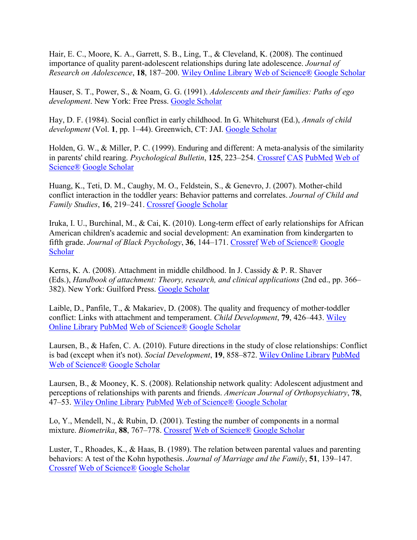Hair, E. C., Moore, K. A., Garrett, S. B., Ling, T., & Cleveland, K. (2008). The continued importance of quality parent‐adolescent relationships during late adolescence. *Journal of Research on Adolescence*, **18**, 187–200. [Wiley Online Library](https://onlinelibrary.wiley.com/doi/10.1111/j.1532-7795.2008.00556.x) [Web of Science®](https://onlinelibrary.wiley.com/servlet/linkout?suffix=null&dbid=128&doi=10.1111%2Fsode.12040&key=000253480300009) [Google Scholar](http://scholar.google.com/scholar_lookup?hl=en&volume=Journal+of+Research+on+Adolescence&publication_year=2008&pages=%0AHair%2C+E.+C.%2C+Moore%2C+K.+A.%2C+Garrett%2C+S.+B.%2C+Ling%2C+T.%2C+%26+Cleveland%2C+K.+%282008%29.+The+continued+importance+of+quality+parent%E2%80%90adolescent+relationships+during+late+adolescence.+Journal+of+Research+on+Adolescence%2C+18%2C+187%E2%80%93200.&journal=187-200&issue=18&author=E.+C.+Hairauthor=K.+A.+Mooreauthor=S.+B.+Garrettauthor=T.+Lingauthor=K.+Cleveland&title=The+continued+importance+of+quality+parent%E2%80%90adolescent+relationships+during+late+adolescence&)

Hauser, S. T., Power, S., & Noam, G. G. (1991). *Adolescents and their families: Paths of ego development*. New York: Free Press. [Google Scholar](http://scholar.google.com/scholar_lookup?hl=en&volume=Journal+of+Research+on+Adolescence&publication_year=1991&pages=%0AHauser%2C+S.+T.%2C+Power%2C+S.%2C+%26+Noam%2C+G.+G.+%281991%29.+Adolescents+and+their+families%3A+Paths+of+ego+development.+New+York%3A+Free+Press.&journal=187-200&issue=18&author=S.+T.+Hauserauthor=S.+Powerauthor=G.+G.+Noam&title=Adolescents+and+their+families%3A+Paths+of+ego+development&)

Hay, D. F. (1984). Social conflict in early childhood. In G. Whitehurst (Ed.), *Annals of child*  development (Vol. 1, pp. 1–44). Greenwich, CT: JAI. [Google Scholar](http://scholar.google.com/scholar_lookup?hl=en&volume=Journal+of+Research+on+Adolescence&publication_year=1984&pages=%0AHay%2C+D.+F.+%281984%29.+Social+conflict+in+early+childhood.+In+%0AG.+Whitehurst%0A+%28Ed.%29%2C+Annals+of+child+development+%28Vol.+1%2C+pp.+1%E2%80%9344%29.+Greenwich%2C+CT%3A+JAI.&journal=187-200&issue=18&author=D.+F.+Hay&isbn=1-44&title=Annals+of+child+development&)

Holden, G. W., & Miller, P. C. (1999). Enduring and different: A meta-analysis of the similarity in parents' child rearing. *Psychological Bulletin*, **125**, 223–254. [Crossref](https://onlinelibrary.wiley.com/servlet/linkout?suffix=null&dbid=16&doi=10.1111%2Fsode.12040&key=10.1037%2F0033-2909.125.2.223) [CAS](https://onlinelibrary.wiley.com/servlet/linkout?suffix=null&dbid=32&doi=10.1111%2Fsode.12040&key=1%3ASTN%3A280%3ADyaK1M7osl2jsw%253D%253D) [PubMed](https://onlinelibrary.wiley.com/servlet/linkout?suffix=null&dbid=8&doi=10.1111%2Fsode.12040&key=10087937) [Web of](https://onlinelibrary.wiley.com/servlet/linkout?suffix=null&dbid=128&doi=10.1111%2Fsode.12040&key=000078980900005)  [Science®](https://onlinelibrary.wiley.com/servlet/linkout?suffix=null&dbid=128&doi=10.1111%2Fsode.12040&key=000078980900005) [Google Scholar](http://scholar.google.com/scholar_lookup?hl=en&volume=Psychological+Bulletin&publication_year=1999&pages=%0AHolden%2C+G.+W.%2C+%26+Miller%2C+P.+C.+%281999%29.+Enduring+and+different%3A+A+meta%E2%80%90analysis+of+the+similarity+in+parents%27+child+rearing.+Psychological+Bulletin%2C+125%2C+223%E2%80%93254.&journal=223-254&issue=125&author=G.+W.+Holdenauthor=P.+C.+Miller&isbn=1-44&title=Enduring+and+different%3A+A+meta%E2%80%90analysis+of+the+similarity+in+parents%27+child+rearing&)

Huang, K., Teti, D. M., Caughy, M. O., Feldstein, S., & Genevro, J. (2007). Mother-child conflict interaction in the toddler years: Behavior patterns and correlates. *Journal of Child and Family Studies*, **16**, 219–241. [Crossref](https://onlinelibrary.wiley.com/servlet/linkout?suffix=null&dbid=16&doi=10.1111%2Fsode.12040&key=10.1007%2Fs10826-006-9081-6) [Google Scholar](http://scholar.google.com/scholar_lookup?hl=en&volume=Journal+of+Child+and+Family+Studies&publication_year=2007&pages=%0AHuang%2C+K.%2C+Teti%2C+D.+M.%2C+Caughy%2C+M.+O.%2C+Feldstein%2C+S.%2C+%26+Genevro%2C+J.+%282007%29.+Mother%E2%80%90child+conflict+interaction+in+the+toddler+years%3A+Behavior+patterns+and+correlates.+Journal+of+Child+and+Family+Studies%2C+16%2C+219%E2%80%93241.&journal=219-241&issue=16&author=K.+Huangauthor=D.+M.+Tetiauthor=M.+O.+Caughyauthor=S.+Feldsteinauthor=J.+Genevro&isbn=1-44&title=Mother%E2%80%90child+conflict+interaction+in+the+toddler+years%3A+Behavior+patterns+and+correlates&)

Iruka, I. U., Burchinal, M., & Cai, K. (2010). Long‐term effect of early relationships for African American children's academic and social development: An examination from kindergarten to fifth grade. *Journal of Black Psychology*, **36**, 144–171. [Crossref](https://onlinelibrary.wiley.com/servlet/linkout?suffix=null&dbid=16&doi=10.1111%2Fsode.12040&key=10.1177%2F0095798409353760) [Web of Science®](https://onlinelibrary.wiley.com/servlet/linkout?suffix=null&dbid=128&doi=10.1111%2Fsode.12040&key=000276382900002) [Google](http://scholar.google.com/scholar_lookup?hl=en&volume=Journal+of+Black+Psychology&publication_year=2010&pages=%0AIruka%2C+I.+U.%2C+Burchinal%2C+M.%2C+%26+Cai%2C+K.+%282010%29.+Long%E2%80%90term+effect+of+early+relationships+for+African+American+children%27s+academic+and+social+development%3A+An+examination+from+kindergarten+to+fifth+grade.+Journal+of+Black+Psychology%2C+36%2C+144%E2%80%93171.&journal=144-171&issue=36&author=I.+U.+Irukaauthor=M.+Burchinalauthor=K.+Cai&isbn=1-44&title=Long%E2%80%90term+effect+of+early+relationships+for+African+American+children%27s+academic+and+social+development%3A+An+examination+from+kindergarten+to+fifth+grade&)  **[Scholar](http://scholar.google.com/scholar_lookup?hl=en&volume=Journal+of+Black+Psychology&publication_year=2010&pages=%0AIruka%2C+I.+U.%2C+Burchinal%2C+M.%2C+%26+Cai%2C+K.+%282010%29.+Long%E2%80%90term+effect+of+early+relationships+for+African+American+children%27s+academic+and+social+development%3A+An+examination+from+kindergarten+to+fifth+grade.+Journal+of+Black+Psychology%2C+36%2C+144%E2%80%93171.&journal=144-171&issue=36&author=I.+U.+Irukaauthor=M.+Burchinalauthor=K.+Cai&isbn=1-44&title=Long%E2%80%90term+effect+of+early+relationships+for+African+American+children%27s+academic+and+social+development%3A+An+examination+from+kindergarten+to+fifth+grade&)** 

Kerns, K. A. (2008). Attachment in middle childhood. In J. Cassidy & P. R. Shaver (Eds.), *Handbook of attachment: Theory, research, and clinical applications* (2nd ed., pp. 366– 382). New York: Guilford Press. [Google Scholar](http://scholar.google.com/scholar_lookup?hl=en&volume=Journal+of+Black+Psychology&publication_year=2008&pages=%0AKerns%2C+K.+A.+%282008%29.+Attachment+in+middle+childhood.+In+%0AJ.+Cassidy%0A+%26+%0AP.+R.+Shaver%0A+%28Eds.%29%2C+Handbook+of+attachment%3A+Theory%2C+research%2C+and+clinical+applications+%282nd+ed.%2C+pp.+366%E2%80%93382%29.+New+York%3A+Guilford+Press.&journal=144-171&issue=36&author=K.+A.+Kerns&isbn=366-382&title=Handbook+of+attachment%3A+Theory%2C+research%2C+and+clinical+applications&)

Laible, D., Panfile, T., & Makariev, D. (2008). The quality and frequency of mother-toddler conflict: Links with attachment and temperament. *Child Development*, **79**, 426–443. [Wiley](https://onlinelibrary.wiley.com/doi/10.1111/j.1467-8624.2007.01134.x)  [Online Library](https://onlinelibrary.wiley.com/doi/10.1111/j.1467-8624.2007.01134.x) [PubMed](https://onlinelibrary.wiley.com/servlet/linkout?suffix=null&dbid=8&doi=10.1111%2Fsode.12040&key=18366432) [Web of Science®](https://onlinelibrary.wiley.com/servlet/linkout?suffix=null&dbid=128&doi=10.1111%2Fsode.12040&key=000254305300012) [Google Scholar](http://scholar.google.com/scholar_lookup?hl=en&volume=Child+Development&publication_year=2008&pages=%0ALaible%2C+D.%2C+Panfile%2C+T.%2C+%26+Makariev%2C+D.+%282008%29.+The+quality+and+frequency+of+mother%E2%80%90toddler+conflict%3A+Links+with+attachment+and+temperament.+Child+Development%2C+79%2C+426%E2%80%93443.&journal=426-443&issue=79&author=D.+Laibleauthor=T.+Panfileauthor=D.+Makariev&isbn=366-382&title=The+quality+and+frequency+of+mother%E2%80%90toddler+conflict%3A+Links+with+attachment+and+temperament&)

Laursen, B., & Hafen, C. A. (2010). Future directions in the study of close relationships: Conflict is bad (except when it's not). *Social Development*, **19**, 858–872. [Wiley Online Library](https://onlinelibrary.wiley.com/doi/10.1111/j.1467-9507.2009.00546.x) [PubMed](https://onlinelibrary.wiley.com/servlet/linkout?suffix=null&dbid=8&doi=10.1111%2Fsode.12040&key=20953335) [Web of Science®](https://onlinelibrary.wiley.com/servlet/linkout?suffix=null&dbid=128&doi=10.1111%2Fsode.12040&key=000282180900011) [Google Scholar](http://scholar.google.com/scholar_lookup?hl=en&volume=Social+Development&publication_year=2010&pages=%0ALaursen%2C+B.%2C+%26+Hafen%2C+C.+A.+%282010%29.+Future+directions+in+the+study+of+close+relationships%3A+Conflict+is+bad+%28except+when+it%27s+not%29.+Social+Development%2C+19%2C+858%E2%80%93872.&journal=858-872&issue=19&author=B.+Laursenauthor=C.+A.+Hafen&isbn=366-382&title=Future+directions+in+the+study+of+close+relationships%3A+Conflict+is+bad+%28except+when+it%27s+not%29&)

Laursen, B., & Mooney, K. S. (2008). Relationship network quality: Adolescent adjustment and perceptions of relationships with parents and friends. *American Journal of Orthopsychiatry*, **78**, 47–53. [Wiley Online Library](https://onlinelibrary.wiley.com/doi/10.1037/0002-9432.78.1.47) [PubMed](https://onlinelibrary.wiley.com/servlet/linkout?suffix=null&dbid=8&doi=10.1111%2Fsode.12040&key=18444726) [Web of Science®](https://onlinelibrary.wiley.com/servlet/linkout?suffix=null&dbid=128&doi=10.1111%2Fsode.12040&key=000255484300006) [Google Scholar](http://scholar.google.com/scholar_lookup?hl=en&volume=American+Journal+of+Orthopsychiatry&publication_year=2008&pages=%0ALaursen%2C+B.%2C+%26+Mooney%2C+K.+S.+%282008%29.+Relationship+network+quality%3A+Adolescent+adjustment+and+perceptions+of+relationships+with+parents+and+friends.+American+Journal+of+Orthopsychiatry%2C+78%2C+47%E2%80%9353.&journal=47-53&issue=78&author=B.+Laursenauthor=K.+S.+Mooney&isbn=366-382&title=Relationship+network+quality%3A+Adolescent+adjustment+and+perceptions+of+relationships+with+parents+and+friends&)

Lo, Y., Mendell, N., & Rubin, D. (2001). Testing the number of components in a normal mixture. *Biometrika*, **88**, 767–778. [Crossref](https://onlinelibrary.wiley.com/servlet/linkout?suffix=null&dbid=16&doi=10.1111%2Fsode.12040&key=10.1093%2Fbiomet%2F88.3.767) [Web of Science®](https://onlinelibrary.wiley.com/servlet/linkout?suffix=null&dbid=128&doi=10.1111%2Fsode.12040&key=000171536100012) [Google Scholar](http://scholar.google.com/scholar_lookup?hl=en&volume=Biometrika&publication_year=2001&pages=%0ALo%2C+Y.%2C+Mendell%2C+N.%2C+%26+Rubin%2C+D.+%282001%29.+Testing+the+number+of+components+in+a+normal+mixture.+Biometrika%2C+88%2C+767%E2%80%93778.&journal=767-778&issue=88&author=Y.+Loauthor=N.+Mendellauthor=D.+Rubin&isbn=366-382&title=Testing+the+number+of+components+in+a+normal+mixture&)

Luster, T., Rhoades, K., & Haas, B. (1989). The relation between parental values and parenting behaviors: A test of the Kohn hypothesis. *Journal of Marriage and the Family*, **51**, 139–147. [Crossref](https://onlinelibrary.wiley.com/servlet/linkout?suffix=null&dbid=16&doi=10.1111%2Fsode.12040&key=10.2307%2F352375) [Web of Science®](https://onlinelibrary.wiley.com/servlet/linkout?suffix=null&dbid=128&doi=10.1111%2Fsode.12040&key=A1989U044800013) [Google Scholar](http://scholar.google.com/scholar_lookup?hl=en&volume=Journal+of+Marriage+and+the+Family&publication_year=1989&pages=%0ALuster%2C+T.%2C+Rhoades%2C+K.%2C+%26+Haas%2C+B.+%281989%29.+The+relation+between+parental+values+and+parenting+behaviors%3A+A+test+of+the+Kohn+hypothesis.+Journal+of+Marriage+and+the+Family%2C+51%2C+139%E2%80%93147.&journal=139-147&issue=51&author=T.+Lusterauthor=K.+Rhoadesauthor=B.+Haas&isbn=366-382&title=The+relation+between+parental+values+and+parenting+behaviors%3A+A+test+of+the+Kohn+hypothesis&)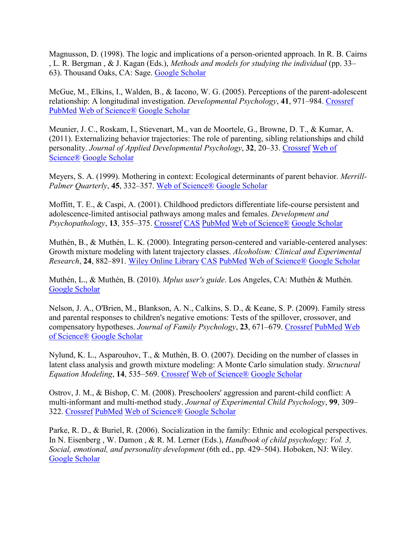Magnusson, D. (1998). The logic and implications of a person-oriented approach. In R. B. Cairns , L. R. Bergman , & J. Kagan (Eds.), *Methods and models for studying the individual* (pp. 33– 63). Thousand Oaks, CA: Sage. [Google Scholar](http://scholar.google.com/scholar_lookup?hl=en&volume=Journal+of+Marriage+and+the+Family&publication_year=1998&pages=%0AMagnusson%2C+D.+%281998%29.+The+logic+and+implications+of+a+person%E2%80%90oriented+approach.+In+%0AR.+B.+Cairns%0A%2C+%0AL.+R.+Bergman%0A%2C+%26+%0AJ.+Kagan%0A+%28Eds.%29%2C+Methods+and+models+for+studying+the+individual+%28pp.+33%E2%80%9363%29.+Thousand+Oaks%2C+CA%3A+Sage.&journal=139-147&issue=51&author=D.+Magnusson&isbn=33-63&title=Methods+and+models+for+studying+the+individual&)

McGue, M., Elkins, I., Walden, B., & Iacono, W. G. (2005). Perceptions of the parent-adolescent relationship: A longitudinal investigation. *Developmental Psychology*, **41**, 971–984. [Crossref](https://onlinelibrary.wiley.com/servlet/linkout?suffix=null&dbid=16&doi=10.1111%2Fsode.12040&key=10.1037%2F0012-1649.41.6.971) [PubMed](https://onlinelibrary.wiley.com/servlet/linkout?suffix=null&dbid=8&doi=10.1111%2Fsode.12040&key=16351340) [Web of Science®](https://onlinelibrary.wiley.com/servlet/linkout?suffix=null&dbid=128&doi=10.1111%2Fsode.12040&key=000233715700011) [Google Scholar](http://scholar.google.com/scholar_lookup?hl=en&volume=Developmental+Psychology&publication_year=2005&pages=%0AMcGue%2C+M.%2C+Elkins%2C+I.%2C+Walden%2C+B.%2C+%26+Iacono%2C+W.+G.+%282005%29.+Perceptions+of+the+parent%E2%80%90adolescent+relationship%3A+A+longitudinal+investigation.+Developmental+Psychology%2C+41%2C+971%E2%80%93984.&journal=971-984&issue=41&author=M.+McGueauthor=I.+Elkinsauthor=B.+Waldenauthor=W.+G.+Iacono&isbn=33-63&title=Perceptions+of+the+parent%E2%80%90adolescent+relationship%3A+A+longitudinal+investigation&)

Meunier, J. C., Roskam, I., Stievenart, M., van de Moortele, G., Browne, D. T., & Kumar, A. (2011). Externalizing behavior trajectories: The role of parenting, sibling relationships and child personality. *Journal of Applied Developmental Psychology*, **32**, 20–33. [Crossref](https://onlinelibrary.wiley.com/servlet/linkout?suffix=null&dbid=16&doi=10.1111%2Fsode.12040&key=10.1016%2Fj.appdev.2010.09.006) [Web of](https://onlinelibrary.wiley.com/servlet/linkout?suffix=null&dbid=128&doi=10.1111%2Fsode.12040&key=000287389000003)  [Science®](https://onlinelibrary.wiley.com/servlet/linkout?suffix=null&dbid=128&doi=10.1111%2Fsode.12040&key=000287389000003) [Google Scholar](http://scholar.google.com/scholar_lookup?hl=en&volume=Journal+of+Applied+Developmental+Psychology&publication_year=2011&pages=%0AMeunier%2C+J.+C.%2C+Roskam%2C+I.%2C+Stievenart%2C+M.%2C+van+de+Moortele%2C+G.%2C+Browne%2C+D.+T.%2C+%26+Kumar%2C+A.+%282011%29.+Externalizing+behavior+trajectories%3A+The+role+of+parenting%2C+sibling+relationships+and+child+personality.+Journal+of+Applied+Developmental+Psychology%2C+32%2C+20%E2%80%9333.&journal=20-33&issue=32&author=J.+C.+Meunierauthor=I.+Roskamauthor=M.+Stievenartauthor=G.+Moorteleauthor=D.+T.+Browneauthor=A.+Kumar&isbn=33-63&title=Externalizing+behavior+trajectories%3A+The+role+of+parenting%2C+sibling+relationships+and+child+personality&)

Meyers, S. A. (1999). Mothering in context: Ecological determinants of parent behavior. *Merrill‐ Palmer Quarterly*, **45**, 332–357. [Web of Science®](https://onlinelibrary.wiley.com/servlet/linkout?suffix=null&dbid=128&doi=10.1111%2Fsode.12040&key=000081125500008) [Google Scholar](http://scholar.google.com/scholar_lookup?hl=en&volume=Merrill%E2%80%90Palmer+Quarterly&publication_year=1999&pages=%0AMeyers%2C+S.+A.+%281999%29.+Mothering+in+context%3A+Ecological+determinants+of+parent+behavior.+Merrill%E2%80%90Palmer+Quarterly%2C+45%2C+332%E2%80%93357.&journal=332-357&issue=45&author=S.+A.+Meyers&isbn=33-63&title=Mothering+in+context%3A+Ecological+determinants+of+parent+behavior&)

Moffitt, T. E., & Caspi, A. (2001). Childhood predictors differentiate life-course persistent and adolescence‐limited antisocial pathways among males and females. *Development and Psychopathology*, **13**, 355–375. [Crossref](https://onlinelibrary.wiley.com/servlet/linkout?suffix=null&dbid=16&doi=10.1111%2Fsode.12040&key=10.1017%2FS0954579401002097) [CAS](https://onlinelibrary.wiley.com/servlet/linkout?suffix=null&dbid=32&doi=10.1111%2Fsode.12040&key=1%3ASTN%3A280%3ADC%252BD3MzhvVSgsw%253D%253D) [PubMed](https://onlinelibrary.wiley.com/servlet/linkout?suffix=null&dbid=8&doi=10.1111%2Fsode.12040&key=11393651) [Web of Science®](https://onlinelibrary.wiley.com/servlet/linkout?suffix=null&dbid=128&doi=10.1111%2Fsode.12040&key=000168805500009) [Google Scholar](http://scholar.google.com/scholar_lookup?hl=en&volume=Development+and+Psychopathology&publication_year=2001&pages=%0AMoffitt%2C+T.+E.%2C+%26+Caspi%2C+A.+%282001%29.+Childhood+predictors+differentiate+life%E2%80%90course+persistent+and+adolescence%E2%80%90limited+antisocial+pathways+among+males+and+females.+Development+and+Psychopathology%2C+13%2C+355%E2%80%93375.&journal=355-375&issue=13&author=T.+E.+Moffittauthor=A.+Caspi&isbn=33-63&title=Childhood+predictors+differentiate+life%E2%80%90course+persistent+and+adolescence%E2%80%90limited+antisocial+pathways+among+males+and+females&)

Muthén, B., & Muthén, L. K. (2000). Integrating person-centered and variable-centered analyses: Growth mixture modeling with latent trajectory classes. *Alcoholism: Clinical and Experimental Research*, **24**, 882–891. [Wiley Online Library](https://onlinelibrary.wiley.com/doi/10.1111/j.1530-0277.2000.tb02070.x) [CAS](https://onlinelibrary.wiley.com/servlet/linkout?suffix=null&dbid=32&doi=10.1111%2Fsode.12040&key=1%3ASTN%3A280%3ADC%252BD3M%252Fitlejug%253D%253D) [PubMed](https://onlinelibrary.wiley.com/servlet/linkout?suffix=null&dbid=8&doi=10.1111%2Fsode.12040&key=10888079) [Web of Science®](https://onlinelibrary.wiley.com/servlet/linkout?suffix=null&dbid=128&doi=10.1111%2Fsode.12040&key=000087757000020) [Google Scholar](http://scholar.google.com/scholar_lookup?hl=en&volume=Alcoholism%3A+Clinical+and+Experimental+Research&publication_year=2000&pages=%0AMuth%C3%A9n%2C+B.%2C+%26+Muth%C3%A9n%2C+L.+K.+%282000%29.+Integrating+person%E2%80%90centered+and+variable%E2%80%90centered+analyses%3A+Growth+mixture+modeling+with+latent+trajectory+classes.+Alcoholism%3A+Clinical+and+Experimental+Research%2C+24%2C+882%E2%80%93891.&journal=882-891&issue=24&author=B.+Muth%C3%A9nauthor=L.+K.+Muth%C3%A9n&isbn=33-63&title=Integrating+person%E2%80%90centered+and+variable%E2%80%90centered+analyses%3A+Growth+mixture+modeling+with+latent+trajectory+classes&)

Muthén, L., & Muthén, B. (2010). *Mplus user's guide*. Los Angeles, CA: Muthén & Muthén. [Google Scholar](http://scholar.google.com/scholar_lookup?hl=en&volume=Alcoholism%3A+Clinical+and+Experimental+Research&publication_year=2010&pages=%0AMuth%C3%A9n%2C+L.%2C+%26+Muth%C3%A9n%2C+B.+%282010%29.+Mplus+user%27s+guide.+Los+Angeles%2C+CA%3A+Muth%C3%A9n+%26+Muth%C3%A9n.&journal=882-891&issue=24&author=L.+Muth%C3%A9nauthor=B.+Muth%C3%A9n&title=Mplus+user%27s+guide&)

Nelson, J. A., O'Brien, M., Blankson, A. N., Calkins, S. D., & Keane, S. P. (2009). Family stress and parental responses to children's negative emotions: Tests of the spillover, crossover, and compensatory hypotheses. *Journal of Family Psychology*, **23**, 671–679. [Crossref](https://onlinelibrary.wiley.com/servlet/linkout?suffix=null&dbid=16&doi=10.1111%2Fsode.12040&key=10.1037%2Fa0015977) [PubMed](https://onlinelibrary.wiley.com/servlet/linkout?suffix=null&dbid=8&doi=10.1111%2Fsode.12040&key=19803603) [Web](https://onlinelibrary.wiley.com/servlet/linkout?suffix=null&dbid=128&doi=10.1111%2Fsode.12040&key=000270796200006)  [of Science®](https://onlinelibrary.wiley.com/servlet/linkout?suffix=null&dbid=128&doi=10.1111%2Fsode.12040&key=000270796200006) [Google Scholar](http://scholar.google.com/scholar_lookup?hl=en&volume=Journal+of+Family+Psychology&publication_year=2009&pages=%0ANelson%2C+J.+A.%2C+O%27Brien%2C+M.%2C+Blankson%2C+A.+N.%2C+Calkins%2C+S.+D.%2C+%26+Keane%2C+S.+P.+%282009%29.+Family+stress+and+parental+responses+to+children%27s+negative+emotions%3A+Tests+of+the+spillover%2C+crossover%2C+and+compensatory+hypotheses.+Journal+of+Family+Psychology%2C+23%2C+671%E2%80%93679.&journal=671-679&issue=23&author=J.+A.+Nelsonauthor=M.+O%27Brienauthor=A.+N.+Blanksonauthor=S.+D.+Calkinsauthor=S.+P.+Keane&title=Family+stress+and+parental+responses+to+children%27s+negative+emotions%3A+Tests+of+the+spillover%2C+crossover%2C+and+compensatory+hypotheses&)

Nylund, K. L., Asparouhov, T., & Muthén, B. O. (2007). Deciding on the number of classes in latent class analysis and growth mixture modeling: A Monte Carlo simulation study. *Structural Equation Modeling*, **14**, 535–569. [Crossref](https://onlinelibrary.wiley.com/servlet/linkout?suffix=null&dbid=16&doi=10.1111%2Fsode.12040&key=10.1080%2F10705510701575396) [Web of Science®](https://onlinelibrary.wiley.com/servlet/linkout?suffix=null&dbid=128&doi=10.1111%2Fsode.12040&key=000250793800001) [Google Scholar](http://scholar.google.com/scholar_lookup?hl=en&volume=Structural+Equation+Modeling&publication_year=2007&pages=%0ANylund%2C+K.+L.%2C+Asparouhov%2C+T.%2C+%26+Muth%C3%A9n%2C+B.+O.+%282007%29.+Deciding+on+the+number+of+classes+in+latent+class+analysis+and+growth+mixture+modeling%3A+A+Monte+Carlo+simulation+study.+Structural+Equation+Modeling%2C+14%2C+535%E2%80%93569.&journal=535-569&issue=14&author=K.+L.+Nylundauthor=T.+Asparouhovauthor=B.+O.+Muth%C3%A9n&title=Deciding+on+the+number+of+classes+in+latent+class+analysis+and+growth+mixture+modeling%3A+A+Monte+Carlo+simulation+study&)

Ostrov, J. M., & Bishop, C. M. (2008). Preschoolers' aggression and parent‐child conflict: A multi‐informant and multi‐method study. *Journal of Experimental Child Psychology*, **99**, 309– 322. [Crossref](https://onlinelibrary.wiley.com/servlet/linkout?suffix=null&dbid=16&doi=10.1111%2Fsode.12040&key=10.1016%2Fj.jecp.2008.01.001) [PubMed](https://onlinelibrary.wiley.com/servlet/linkout?suffix=null&dbid=8&doi=10.1111%2Fsode.12040&key=18299136) [Web of Science®](https://onlinelibrary.wiley.com/servlet/linkout?suffix=null&dbid=128&doi=10.1111%2Fsode.12040&key=000255216100005) [Google Scholar](http://scholar.google.com/scholar_lookup?hl=en&volume=Journal+of+Experimental+Child+Psychology&publication_year=2008&pages=%0AOstrov%2C+J.+M.%2C+%26+Bishop%2C+C.+M.+%282008%29.+Preschoolers%27+aggression+and+parent%E2%80%90child+conflict%3A+A+multi%E2%80%90informant+and+multi%E2%80%90method+study.+Journal+of+Experimental+Child+Psychology%2C+99%2C+309%E2%80%93322.&journal=309-322&issue=99&author=J.+M.+Ostrovauthor=C.+M.+Bishop&title=Preschoolers%27+aggression+and+parent%E2%80%90child+conflict%3A+A+multi%E2%80%90informant+and+multi%E2%80%90method+study&)

Parke, R. D., & Buriel, R. (2006). Socialization in the family: Ethnic and ecological perspectives. In N. Eisenberg , W. Damon , & R. M. Lerner (Eds.), *Handbook of child psychology; Vol. 3, Social, emotional, and personality development* (6th ed., pp. 429–504). Hoboken, NJ: Wiley. [Google Scholar](http://scholar.google.com/scholar_lookup?hl=en&volume=Journal+of+Experimental+Child+Psychology&publication_year=2006&pages=%0AParke%2C+R.+D.%2C+%26+Buriel%2C+R.+%282006%29.+Socialization+in+the+family%3A+Ethnic+and+ecological+perspectives.+In+%0AN.+Eisenberg%0A%2C+%0AW.+Damon%0A%2C+%26+%0AR.+M.+Lerner%0A+%28Eds.%29%2C+Handbook+of+child+psychology%3B+Vol.+3%2C+Social%2C+emotional%2C+and+personality+development+%286th+ed.%2C+pp.+429%E2%80%93504%29.+Hoboken%2C+NJ%3A+Wiley.&journal=309-322&issue=99&author=R.+D.+Parkeauthor=R.+Buriel&isbn=429-504&title=Handbook+of+child+psychology%3B+Vol.+3%2C+Social%2C+emotional%2C+and+personality+development&)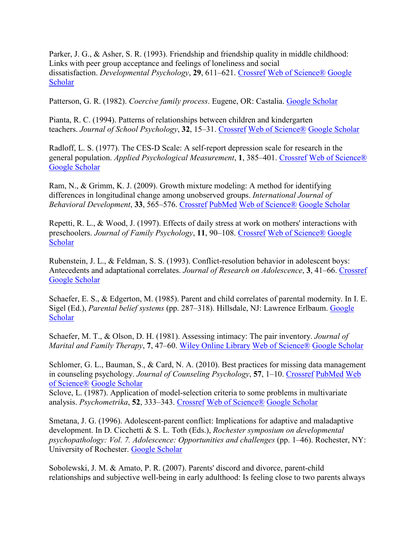Parker, J. G., & Asher, S. R. (1993). Friendship and friendship quality in middle childhood: Links with peer group acceptance and feelings of loneliness and social dissatisfaction. *Developmental Psychology*, **29**, 611–621. [Crossref](https://onlinelibrary.wiley.com/servlet/linkout?suffix=null&dbid=16&doi=10.1111%2Fsode.12040&key=10.1037%2F0012-1649.29.4.611) [Web of Science®](https://onlinelibrary.wiley.com/servlet/linkout?suffix=null&dbid=128&doi=10.1111%2Fsode.12040&key=A1993LK42600001) [Google](http://scholar.google.com/scholar_lookup?hl=en&volume=Developmental+Psychology&publication_year=1993&pages=%0AParker%2C+J.+G.%2C+%26+Asher%2C+S.+R.+%281993%29.+Friendship+and+friendship+quality+in+middle+childhood%3A+Links+with+peer+group+acceptance+and+feelings+of+loneliness+and+social+dissatisfaction.+Developmental+Psychology%2C+29%2C+611%E2%80%93621.&journal=611-621&issue=29&author=J.+G.+Parkerauthor=S.+R.+Asher&isbn=429-504&title=Friendship+and+friendship+quality+in+middle+childhood%3A+Links+with+peer+group+acceptance+and+feelings+of+loneliness+and+social+dissatisfaction&)  [Scholar](http://scholar.google.com/scholar_lookup?hl=en&volume=Developmental+Psychology&publication_year=1993&pages=%0AParker%2C+J.+G.%2C+%26+Asher%2C+S.+R.+%281993%29.+Friendship+and+friendship+quality+in+middle+childhood%3A+Links+with+peer+group+acceptance+and+feelings+of+loneliness+and+social+dissatisfaction.+Developmental+Psychology%2C+29%2C+611%E2%80%93621.&journal=611-621&issue=29&author=J.+G.+Parkerauthor=S.+R.+Asher&isbn=429-504&title=Friendship+and+friendship+quality+in+middle+childhood%3A+Links+with+peer+group+acceptance+and+feelings+of+loneliness+and+social+dissatisfaction&)

Patterson, G. R. (1982). *Coercive family process*. Eugene, OR: Castalia. [Google Scholar](http://scholar.google.com/scholar_lookup?hl=en&volume=Developmental+Psychology&publication_year=1982&pages=%0APatterson%2C+G.+R.+%281982%29.+Coercive+family+process.+Eugene%2C+OR%3A+Castalia.&journal=611-621&issue=29&author=G.+R.+Patterson&title=Coercive+family+process&)

Pianta, R. C. (1994). Patterns of relationships between children and kindergarten teachers. *Journal of School Psychology*, **32**, 15–31. [Crossref](https://onlinelibrary.wiley.com/servlet/linkout?suffix=null&dbid=16&doi=10.1111%2Fsode.12040&key=10.1016%2F0022-4405%2894%2990026-4) [Web of Science®](https://onlinelibrary.wiley.com/servlet/linkout?suffix=null&dbid=128&doi=10.1111%2Fsode.12040&key=A1994MY57100002) [Google Scholar](http://scholar.google.com/scholar_lookup?hl=en&volume=Journal+of+School+Psychology&publication_year=1994&pages=%0APianta%2C+R.+C.+%281994%29.+Patterns+of+relationships+between+children+and+kindergarten+teachers.+Journal+of+School+Psychology%2C+32%2C+15%E2%80%9331.&journal=15-31&issue=32&author=R.+C.+Pianta&title=Patterns+of+relationships+between+children+and+kindergarten+teachers&)

Radloff, L. S. (1977). The CES-D Scale: A self-report depression scale for research in the general population. *Applied Psychological Measurement*, **1**, 385–401. [Crossref](https://onlinelibrary.wiley.com/servlet/linkout?suffix=null&dbid=16&doi=10.1111%2Fsode.12040&key=10.1177%2F014662167700100306) [Web of Science®](https://onlinelibrary.wiley.com/servlet/linkout?suffix=null&dbid=128&doi=10.1111%2Fsode.12040&key=000084278100002) [Google Scholar](http://scholar.google.com/scholar_lookup?hl=en&volume=Applied+Psychological+Measurement&publication_year=1977&pages=%0ARadloff%2C+L.+S.+%281977%29.+The+CES%E2%80%90D+Scale%3A+A+self%E2%80%90report+depression+scale+for+research+in+the+general+population.+Applied+Psychological+Measurement%2C+1%2C+385%E2%80%93401.&journal=385-401&issue=1&author=L.+S.+Radloff&title=The+CES%E2%80%90D+Scale%3A+A+self%E2%80%90report+depression+scale+for+research+in+the+general+population&)

Ram, N., & Grimm, K. J. (2009). Growth mixture modeling: A method for identifying differences in longitudinal change among unobserved groups. *International Journal of Behavioral Development*, **33**, 565–576. [Crossref](https://onlinelibrary.wiley.com/servlet/linkout?suffix=null&dbid=16&doi=10.1111%2Fsode.12040&key=10.1177%2F0165025409343765) [PubMed](https://onlinelibrary.wiley.com/servlet/linkout?suffix=null&dbid=8&doi=10.1111%2Fsode.12040&key=23885133) [Web of Science®](https://onlinelibrary.wiley.com/servlet/linkout?suffix=null&dbid=128&doi=10.1111%2Fsode.12040&key=000271142100009) [Google Scholar](http://scholar.google.com/scholar_lookup?hl=en&volume=International+Journal+of+Behavioral+Development&publication_year=2009&pages=%0ARam%2C+N.%2C+%26+Grimm%2C+K.+J.+%282009%29.+Growth+mixture+modeling%3A+A+method+for+identifying+differences+in+longitudinal+change+among+unobserved+groups.+International+Journal+of+Behavioral+Development%2C+33%2C+565%E2%80%93576.&journal=565-576&issue=33&author=N.+Ramauthor=K.+J.+Grimm&title=Growth+mixture+modeling%3A+A+method+for+identifying+differences+in+longitudinal+change+among+unobserved+groups&)

Repetti, R. L., & Wood, J. (1997). Effects of daily stress at work on mothers' interactions with preschoolers. *Journal of Family Psychology*, **11**, 90–108. [Crossref](https://onlinelibrary.wiley.com/servlet/linkout?suffix=null&dbid=16&doi=10.1111%2Fsode.12040&key=10.1037%2F0893-3200.11.1.90) [Web of Science®](https://onlinelibrary.wiley.com/servlet/linkout?suffix=null&dbid=128&doi=10.1111%2Fsode.12040&key=A1997WM84700008) [Google](http://scholar.google.com/scholar_lookup?hl=en&volume=Journal+of+Family+Psychology&publication_year=1997&pages=%0ARepetti%2C+R.+L.%2C+%26+Wood%2C+J.+%281997%29.+Effects+of+daily+stress+at+work+on+mothers%27+interactions+with+preschoolers.+Journal+of+Family+Psychology%2C+11%2C+90%E2%80%93108.&journal=90-108&issue=11&author=R.+L.+Repettiauthor=J.+Wood&title=Effects+of+daily+stress+at+work+on+mothers%27+interactions+with+preschoolers&)  [Scholar](http://scholar.google.com/scholar_lookup?hl=en&volume=Journal+of+Family+Psychology&publication_year=1997&pages=%0ARepetti%2C+R.+L.%2C+%26+Wood%2C+J.+%281997%29.+Effects+of+daily+stress+at+work+on+mothers%27+interactions+with+preschoolers.+Journal+of+Family+Psychology%2C+11%2C+90%E2%80%93108.&journal=90-108&issue=11&author=R.+L.+Repettiauthor=J.+Wood&title=Effects+of+daily+stress+at+work+on+mothers%27+interactions+with+preschoolers&)

Rubenstein, J. L., & Feldman, S. S. (1993). Conflict‐resolution behavior in adolescent boys: Antecedents and adaptational correlates. *Journal of Research on Adolescence*, **3**, 41–66. [Crossref](https://onlinelibrary.wiley.com/servlet/linkout?suffix=null&dbid=16&doi=10.1111%2Fsode.12040&key=10.1207%2Fs15327795jra0301_3) [Google Scholar](http://scholar.google.com/scholar_lookup?hl=en&volume=Journal+of+Research+on+Adolescence&publication_year=1993&pages=%0ARubenstein%2C+J.+L.%2C+%26+Feldman%2C+S.+S.+%281993%29.+Conflict%E2%80%90resolution+behavior+in+adolescent+boys%3A+Antecedents+and+adaptational+correlates.+Journal+of+Research+on+Adolescence%2C+3%2C+41%E2%80%9366.&journal=41-66&issue=3&author=J.+L.+Rubensteinauthor=S.+S.+Feldman&title=Conflict%E2%80%90resolution+behavior+in+adolescent+boys%3A+Antecedents+and+adaptational+correlates&)

Schaefer, E. S., & Edgerton, M. (1985). Parent and child correlates of parental modernity. In I. E. Sigel (Ed.), *Parental belief systems* (pp. 287–318). Hillsdale, NJ: Lawrence Erlbaum. [Google](http://scholar.google.com/scholar_lookup?hl=en&volume=Journal+of+Research+on+Adolescence&publication_year=1985&pages=%0ASchaefer%2C+E.+S.%2C+%26+Edgerton%2C+M.+%281985%29.+Parent+and+child+correlates+of+parental+modernity.+In+%0AI.+E.+Sigel%0A+%28Ed.%29%2C+Parental+belief+systems+%28pp.+287%E2%80%93318%29.+Hillsdale%2C+NJ%3A+Lawrence+Erlbaum.&journal=41-66&issue=3&author=E.+S.+Schaeferauthor=M.+Edgerton&isbn=287-318&title=Parental+belief+systems&)  [Scholar](http://scholar.google.com/scholar_lookup?hl=en&volume=Journal+of+Research+on+Adolescence&publication_year=1985&pages=%0ASchaefer%2C+E.+S.%2C+%26+Edgerton%2C+M.+%281985%29.+Parent+and+child+correlates+of+parental+modernity.+In+%0AI.+E.+Sigel%0A+%28Ed.%29%2C+Parental+belief+systems+%28pp.+287%E2%80%93318%29.+Hillsdale%2C+NJ%3A+Lawrence+Erlbaum.&journal=41-66&issue=3&author=E.+S.+Schaeferauthor=M.+Edgerton&isbn=287-318&title=Parental+belief+systems&)

Schaefer, M. T., & Olson, D. H. (1981). Assessing intimacy: The pair inventory. *Journal of Marital and Family Therapy*, **7**, 47–60. [Wiley Online Library](https://onlinelibrary.wiley.com/doi/10.1111/j.1752-0606.1981.tb01351.x) [Web of Science®](https://onlinelibrary.wiley.com/servlet/linkout?suffix=null&dbid=128&doi=10.1111%2Fsode.12040&key=A1981LB53900006) [Google Scholar](http://scholar.google.com/scholar_lookup?hl=en&volume=Journal+of+Marital+and+Family+Therapy&publication_year=1981&pages=%0ASchaefer%2C+M.+T.%2C+%26+Olson%2C+D.+H.+%281981%29.+Assessing+intimacy%3A+The+pair+inventory.+Journal+of+Marital+and+Family+Therapy%2C+7%2C+47%E2%80%9360.&journal=47-60&issue=7&author=M.+T.+Schaeferauthor=D.+H.+Olson&isbn=287-318&title=Assessing+intimacy%3A+The+pair+inventory&)

Schlomer, G. L., Bauman, S., & Card, N. A. (2010). Best practices for missing data management in counseling psychology. *Journal of Counseling Psychology*, **57**, 1–10. [Crossref](https://onlinelibrary.wiley.com/servlet/linkout?suffix=null&dbid=16&doi=10.1111%2Fsode.12040&key=10.1037%2Fa0018082) [PubMed](https://onlinelibrary.wiley.com/servlet/linkout?suffix=null&dbid=8&doi=10.1111%2Fsode.12040&key=21133556) [Web](https://onlinelibrary.wiley.com/servlet/linkout?suffix=null&dbid=128&doi=10.1111%2Fsode.12040&key=000274001100001)  [of Science®](https://onlinelibrary.wiley.com/servlet/linkout?suffix=null&dbid=128&doi=10.1111%2Fsode.12040&key=000274001100001) [Google Scholar](http://scholar.google.com/scholar_lookup?hl=en&volume=Journal+of+Counseling+Psychology&publication_year=2010&pages=%0ASchlomer%2C+G.+L.%2C+Bauman%2C+S.%2C+%26+Card%2C+N.+A.+%282010%29.+Best+practices+for+missing+data+management+in+counseling+psychology.+Journal+of+Counseling+Psychology%2C+57%2C+1%E2%80%9310.&journal=1-10&issue=57&author=G.+L.+Schlomerauthor=S.+Baumanauthor=N.+A.+Card&isbn=287-318&title=Best+practices+for+missing+data+management+in+counseling+psychology&)

Sclove, L. (1987). Application of model‐selection criteria to some problems in multivariate analysis. *Psychometrika*, **52**, 333–343. [Crossref](https://onlinelibrary.wiley.com/servlet/linkout?suffix=null&dbid=16&doi=10.1111%2Fsode.12040&key=10.1007%2FBF02294360) [Web of Science®](https://onlinelibrary.wiley.com/servlet/linkout?suffix=null&dbid=128&doi=10.1111%2Fsode.12040&key=A1987K344100003) [Google Scholar](http://scholar.google.com/scholar_lookup?hl=en&volume=Psychometrika&publication_year=1987&pages=%0ASclove%2C+L.+%281987%29.+Application+of+model%E2%80%90selection+criteria+to+some+problems+in+multivariate+analysis.+Psychometrika%2C+52%2C+333%E2%80%93343.&journal=333-343&issue=52&author=L.+Sclove&isbn=287-318&title=Application+of+model%E2%80%90selection+criteria+to+some+problems+in+multivariate+analysis&)

Smetana, J. G. (1996). Adolescent-parent conflict: Implications for adaptive and maladaptive development. In D. Cicchetti & S. L. Toth (Eds.), *Rochester symposium on developmental psychopathology: Vol. 7. Adolescence: Opportunities and challenges* (pp. 1–46). Rochester, NY: University of Rochester. [Google Scholar](http://scholar.google.com/scholar_lookup?hl=en&volume=Psychometrika&publication_year=1996&pages=%0ASmetana%2C+J.+G.+%281996%29.+Adolescent%E2%80%90parent+conflict%3A+Implications+for+adaptive+and+maladaptive+development.+In+%0AD.+Cicchetti%0A+%26+%0AS.+L.+Toth%0A+%28Eds.%29%2C+Rochester+symposium+on+developmental+psychopathology%3A+Vol.+7.+Adolescence%3A+Opportunities+and+challenges+%28pp.+1%E2%80%9346%29.+Rochester%2C+NY%3A+University+of+Rochester.&journal=333-343&issue=52&author=J.+G.+Smetana&isbn=1-46&title=Rochester+symposium+on+developmental+psychopathology%3A+Vol.+7.+Adolescence%3A+Opportunities+and+challenges&)

Sobolewski, J. M. & Amato, P. R. (2007). Parents' discord and divorce, parent-child relationships and subjective well‐being in early adulthood: Is feeling close to two parents always